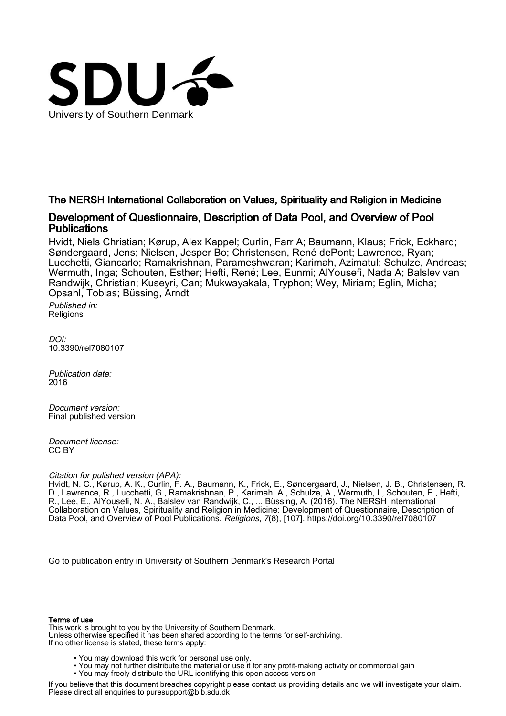

# The NERSH International Collaboration on Values, Spirituality and Religion in Medicine

# Development of Questionnaire, Description of Data Pool, and Overview of Pool **Publications**

Hvidt, Niels Christian; Kørup, Alex Kappel; Curlin, Farr A; Baumann, Klaus; Frick, Eckhard; Søndergaard, Jens; Nielsen, Jesper Bo; Christensen, René dePont; Lawrence, Ryan; Lucchetti, Giancarlo; Ramakrishnan, Parameshwaran; Karimah, Azimatul; Schulze, Andreas; Wermuth, Inga; Schouten, Esther; Hefti, René; Lee, Eunmi; AlYousefi, Nada A; Balslev van Randwijk, Christian; Kuseyri, Can; Mukwayakala, Tryphon; Wey, Miriam; Eglin, Micha; Opsahl, Tobias; Büssing, Arndt

Published in: **Religions** 

 $D$ [10.3390/rel7080107](https://doi.org/10.3390/rel7080107)

Publication date: 2016

Document version: Final published version

Document license: CC BY

# Citation for pulished version (APA):

Hvidt, N. C., Kørup, A. K., Curlin, F. A., Baumann, K., Frick, E., Søndergaard, J., Nielsen, J. B., Christensen, R. D., Lawrence, R., Lucchetti, G., Ramakrishnan, P., Karimah, A., Schulze, A., Wermuth, I., Schouten, E., Hefti, R., Lee, E., AlYousefi, N. A., Balslev van Randwijk, C., ... Büssing, A. (2016). The NERSH International Collaboration on Values, Spirituality and Religion in Medicine: Development of Questionnaire, Description of Data Pool, and Overview of Pool Publications. Religions, 7(8), [107].<https://doi.org/10.3390/rel7080107>

[Go to publication entry in University of Southern Denmark's Research Portal](https://portal.findresearcher.sdu.dk/en/publications/05e9e0eb-559d-41fa-80a2-bae75028869b)

#### Terms of use

This work is brought to you by the University of Southern Denmark. Unless otherwise specified it has been shared according to the terms for self-archiving. If no other license is stated, these terms apply:

- You may download this work for personal use only.
- You may not further distribute the material or use it for any profit-making activity or commercial gain
- You may freely distribute the URL identifying this open access version

If you believe that this document breaches copyright please contact us providing details and we will investigate your claim. Please direct all enquiries to puresupport@bib.sdu.dk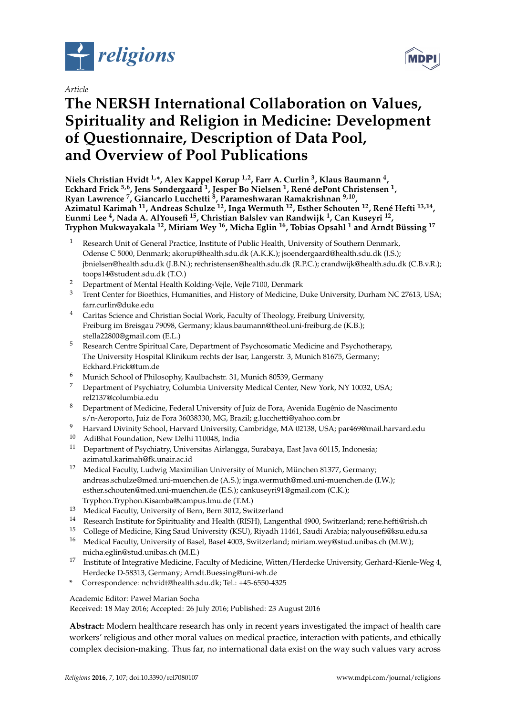

*Article*

# **The NERSH International Collaboration on Values, Spirituality and Religion in Medicine: Development of Questionnaire, Description of Data Pool, and Overview of Pool Publications**

**Niels Christian Hvidt 1,\*, Alex Kappel Kørup 1,2, Farr A. Curlin <sup>3</sup> , Klaus Baumann <sup>4</sup> , Eckhard Frick 5,6, Jens Søndergaard <sup>1</sup> , Jesper Bo Nielsen <sup>1</sup> , René dePont Christensen <sup>1</sup> , Ryan Lawrence <sup>7</sup> , Giancarlo Lucchetti <sup>8</sup> , Parameshwaran Ramakrishnan 9,10 , Azimatul Karimah <sup>11</sup>, Andreas Schulze <sup>12</sup>, Inga Wermuth <sup>12</sup>, Esther Schouten <sup>12</sup>, René Hefti 13,14 , Eunmi Lee <sup>4</sup> , Nada A. AlYousefi <sup>15</sup>, Christian Balslev van Randwijk <sup>1</sup> , Can Kuseyri <sup>12</sup> , Tryphon Mukwayakala <sup>12</sup>, Miriam Wey <sup>16</sup>, Micha Eglin <sup>16</sup>, Tobias Opsahl <sup>1</sup> and Arndt Büssing <sup>17</sup>**

- Research Unit of General Practice, Institute of Public Health, University of Southern Denmark, Odense C 5000, Denmark; akorup@health.sdu.dk (A.K.K.); jsoendergaard@health.sdu.dk (J.S.); jbnielsen@health.sdu.dk (J.B.N.); rechristensen@health.sdu.dk (R.P.C.); crandwijk@health.sdu.dk (C.B.v.R.); toops14@student.sdu.dk (T.O.)
- <sup>2</sup> Department of Mental Health Kolding-Vejle, Vejle 7100, Denmark
- <sup>3</sup> Trent Center for Bioethics, Humanities, and History of Medicine, Duke University, Durham NC 27613, USA; farr.curlin@duke.edu
- <sup>4</sup> Caritas Science and Christian Social Work, Faculty of Theology, Freiburg University, Freiburg im Breisgau 79098, Germany; klaus.baumann@theol.uni-freiburg.de (K.B.); stella22800@gmail.com (E.L.)
- <sup>5</sup> Research Centre Spiritual Care, Department of Psychosomatic Medicine and Psychotherapy, The University Hospital Klinikum rechts der Isar, Langerstr. 3, Munich 81675, Germany; Eckhard.Frick@tum.de
- <sup>6</sup> Munich School of Philosophy, Kaulbachstr. 31, Munich 80539, Germany<br><sup>7</sup> Department of Pauchistus Columbia University Madicel Center New Y
- <sup>7</sup> Department of Psychiatry, Columbia University Medical Center, New York, NY 10032, USA; rel2137@columbia.edu
- <sup>8</sup> Department of Medicine, Federal University of Juiz de Fora, Avenida Eugênio de Nascimento s/n-Aeroporto, Juiz de Fora 36038330, MG, Brazil; g.lucchetti@yahoo.com.br
- <sup>9</sup> Harvard Divinity School, Harvard University, Cambridge, MA 02138, USA; par469@mail.harvard.edu
- <sup>10</sup> AdiBhat Foundation, New Delhi 110048, India
- <sup>11</sup> Department of Psychiatry, Universitas Airlangga, Surabaya, East Java 60115, Indonesia; azimatul.karimah@fk.unair.ac.id
- <sup>12</sup> Medical Faculty, Ludwig Maximilian University of Munich, München 81377, Germany; andreas.schulze@med.uni-muenchen.de (A.S.); inga.wermuth@med.uni-muenchen.de (I.W.); esther.schouten@med.uni-muenchen.de (E.S.); cankuseyri91@gmail.com (C.K.); Tryphon.Tryphon.Kisamba@campus.lmu.de (T.M.)
- <sup>13</sup> Medical Faculty, University of Bern, Bern 3012, Switzerland
- <sup>14</sup> Research Institute for Spirituality and Health (RISH), Langenthal 4900, Switzerland; rene.hefti@rish.ch
- <sup>15</sup> College of Medicine, King Saud University (KSU), Riyadh 11461, Saudi Arabia; nalyousefi@ksu.edu.sa<br><sup>16</sup> Medical Faculty University of Basel Basel 4003, Switzerland: miriam wey@stud unibas ch (M W):
- <sup>16</sup> Medical Faculty, University of Basel, Basel 4003, Switzerland; miriam.wey@stud.unibas.ch (M.W.); micha.eglin@stud.unibas.ch (M.E.)
- <sup>17</sup> Institute of Integrative Medicine, Faculty of Medicine, Witten/Herdecke University, Gerhard-Kienle-Weg 4, Herdecke D-58313, Germany; Arndt.Buessing@uni-wh.de
- **\*** Correspondence: nchvidt@health.sdu.dk; Tel.: +45-6550-4325

# Academic Editor: Paweł Marian Socha

Received: 18 May 2016; Accepted: 26 July 2016; Published: 23 August 2016

**Abstract:** Modern healthcare research has only in recent years investigated the impact of health care workers' religious and other moral values on medical practice, interaction with patients, and ethically complex decision-making. Thus far, no international data exist on the way such values vary across

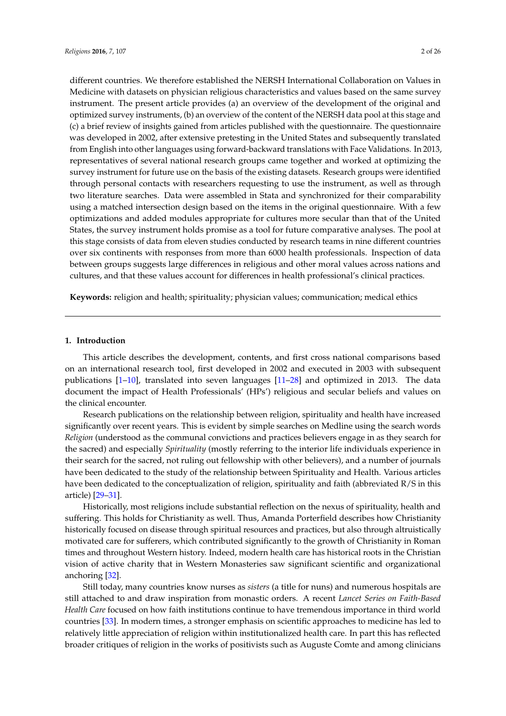different countries. We therefore established the NERSH International Collaboration on Values in Medicine with datasets on physician religious characteristics and values based on the same survey instrument. The present article provides (a) an overview of the development of the original and optimized survey instruments, (b) an overview of the content of the NERSH data pool at this stage and (c) a brief review of insights gained from articles published with the questionnaire. The questionnaire was developed in 2002, after extensive pretesting in the United States and subsequently translated from English into other languages using forward-backward translations with Face Validations. In 2013, representatives of several national research groups came together and worked at optimizing the survey instrument for future use on the basis of the existing datasets. Research groups were identified through personal contacts with researchers requesting to use the instrument, as well as through two literature searches. Data were assembled in Stata and synchronized for their comparability using a matched intersection design based on the items in the original questionnaire. With a few optimizations and added modules appropriate for cultures more secular than that of the United States, the survey instrument holds promise as a tool for future comparative analyses. The pool at this stage consists of data from eleven studies conducted by research teams in nine different countries over six continents with responses from more than 6000 health professionals. Inspection of data between groups suggests large differences in religious and other moral values across nations and cultures, and that these values account for differences in health professional's clinical practices.

**Keywords:** religion and health; spirituality; physician values; communication; medical ethics

#### **1. Introduction**

This article describes the development, contents, and first cross national comparisons based on an international research tool, first developed in 2002 and executed in 2003 with subsequent publications [\[1–](#page-22-0)[10\]](#page-22-1), translated into seven languages [\[11–](#page-22-2)[28\]](#page-23-0) and optimized in 2013. The data document the impact of Health Professionals' (HPs') religious and secular beliefs and values on the clinical encounter.

Research publications on the relationship between religion, spirituality and health have increased significantly over recent years. This is evident by simple searches on Medline using the search words *Religion* (understood as the communal convictions and practices believers engage in as they search for the sacred) and especially *Spirituality* (mostly referring to the interior life individuals experience in their search for the sacred, not ruling out fellowship with other believers), and a number of journals have been dedicated to the study of the relationship between Spirituality and Health. Various articles have been dedicated to the conceptualization of religion, spirituality and faith (abbreviated R/S in this article) [\[29–](#page-23-1)[31\]](#page-23-2).

Historically, most religions include substantial reflection on the nexus of spirituality, health and suffering. This holds for Christianity as well. Thus, Amanda Porterfield describes how Christianity historically focused on disease through spiritual resources and practices, but also through altruistically motivated care for sufferers, which contributed significantly to the growth of Christianity in Roman times and throughout Western history. Indeed, modern health care has historical roots in the Christian vision of active charity that in Western Monasteries saw significant scientific and organizational anchoring [\[32\]](#page-23-3).

Still today, many countries know nurses as *sisters* (a title for nuns) and numerous hospitals are still attached to and draw inspiration from monastic orders. A recent *Lancet Series on Faith-Based Health Care* focused on how faith institutions continue to have tremendous importance in third world countries [\[33\]](#page-23-4). In modern times, a stronger emphasis on scientific approaches to medicine has led to relatively little appreciation of religion within institutionalized health care. In part this has reflected broader critiques of religion in the works of positivists such as Auguste Comte and among clinicians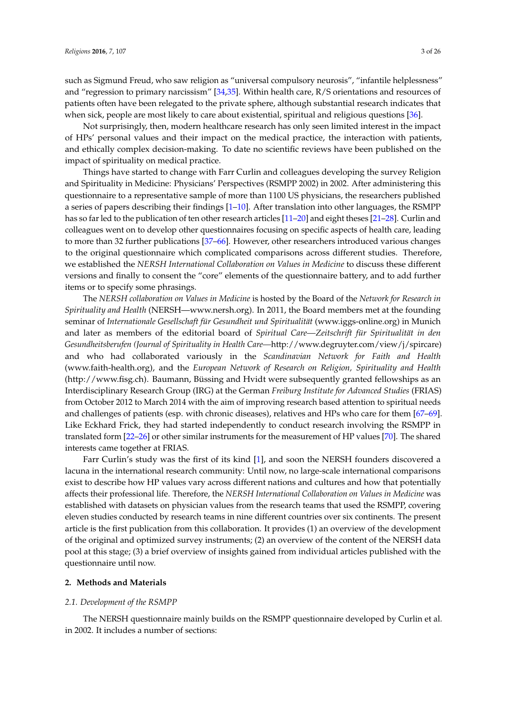such as Sigmund Freud, who saw religion as "universal compulsory neurosis", "infantile helplessness" and "regression to primary narcissism" [\[34](#page-23-5)[,35\]](#page-23-6). Within health care, R/S orientations and resources of patients often have been relegated to the private sphere, although substantial research indicates that when sick, people are most likely to care about existential, spiritual and religious questions [\[36\]](#page-23-7).

Not surprisingly, then, modern healthcare research has only seen limited interest in the impact of HPs' personal values and their impact on the medical practice, the interaction with patients, and ethically complex decision-making. To date no scientific reviews have been published on the impact of spirituality on medical practice.

Things have started to change with Farr Curlin and colleagues developing the survey Religion and Spirituality in Medicine: Physicians' Perspectives (RSMPP 2002) in 2002. After administering this questionnaire to a representative sample of more than 1100 US physicians, the researchers published a series of papers describing their findings [\[1](#page-22-0)[–10\]](#page-22-1). After translation into other languages, the RSMPP has so far led to the publication of ten other research articles [\[11–](#page-22-2)[20\]](#page-23-8) and eight theses [\[21–](#page-23-9)[28\]](#page-23-0). Curlin and colleagues went on to develop other questionnaires focusing on specific aspects of health care, leading to more than 32 further publications [\[37–](#page-24-0)[66\]](#page-25-0). However, other researchers introduced various changes to the original questionnaire which complicated comparisons across different studies. Therefore, we established the *NERSH International Collaboration on Values in Medicine* to discuss these different versions and finally to consent the "core" elements of the questionnaire battery, and to add further items or to specify some phrasings.

The *NERSH collaboration on Values in Medicine* is hosted by the Board of the *Network for Research in Spirituality and Health* (NERSH—www.nersh.org). In 2011, the Board members met at the founding seminar of *Internationale Gesellschaft für Gesundheit und Spiritualität* (www.iggs-online.org) in Munich and later as members of the editorial board of *Spiritual Care—Zeitschrift für Spiritualität in den Gesundheitsberufen (Journal of Spirituality in Health Care—*http://www.degruyter.com/view/j/spircare) and who had collaborated variously in the *Scandinavian Network for Faith and Health* (www.faith-health.org), and the *European Network of Research on Religion, Spirituality and Health* (http://www.fisg.ch). Baumann, Büssing and Hvidt were subsequently granted fellowships as an Interdisciplinary Research Group (IRG) at the German *Freiburg Institute for Advanced Studies* (FRIAS) from October 2012 to March 2014 with the aim of improving research based attention to spiritual needs and challenges of patients (esp. with chronic diseases), relatives and HPs who care for them [\[67–](#page-25-1)[69\]](#page-25-2). Like Eckhard Frick, they had started independently to conduct research involving the RSMPP in translated form [\[22](#page-23-10)[–26\]](#page-23-11) or other similar instruments for the measurement of HP values [\[70\]](#page-25-3). The shared interests came together at FRIAS.

Farr Curlin's study was the first of its kind [\[1\]](#page-22-0), and soon the NERSH founders discovered a lacuna in the international research community: Until now, no large-scale international comparisons exist to describe how HP values vary across different nations and cultures and how that potentially affects their professional life. Therefore, the *NERSH International Collaboration on Values in Medicine* was established with datasets on physician values from the research teams that used the RSMPP, covering eleven studies conducted by research teams in nine different countries over six continents. The present article is the first publication from this collaboration. It provides (1) an overview of the development of the original and optimized survey instruments; (2) an overview of the content of the NERSH data pool at this stage; (3) a brief overview of insights gained from individual articles published with the questionnaire until now.

#### **2. Methods and Materials**

#### *2.1. Development of the RSMPP*

The NERSH questionnaire mainly builds on the RSMPP questionnaire developed by Curlin et al. in 2002. It includes a number of sections: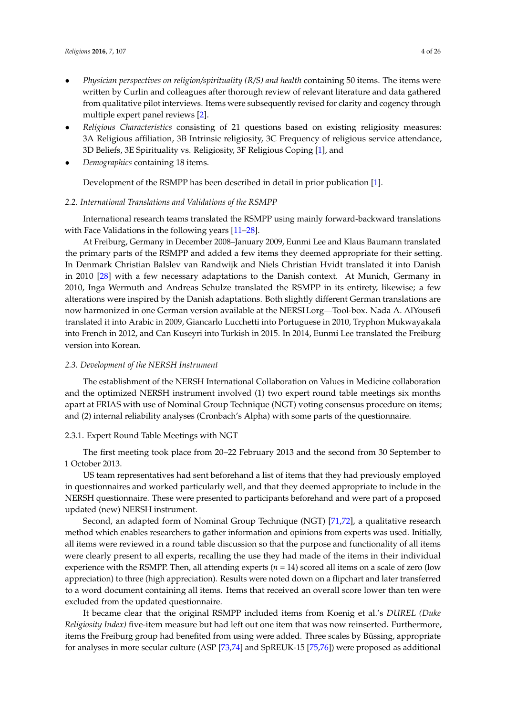- *Physician perspectives on religion/spirituality (R/S) and health* containing 50 items. The items were written by Curlin and colleagues after thorough review of relevant literature and data gathered from qualitative pilot interviews. Items were subsequently revised for clarity and cogency through multiple expert panel reviews [\[2\]](#page-22-3).
- *Religious Characteristics* consisting of 21 questions based on existing religiosity measures: 3A Religious affiliation, 3B Intrinsic religiosity, 3C Frequency of religious service attendance, 3D Beliefs, 3E Spirituality vs. Religiosity, 3F Religious Coping [\[1\]](#page-22-0), and
- *Demographics* containing 18 items.

Development of the RSMPP has been described in detail in prior publication [\[1\]](#page-22-0).

#### *2.2. International Translations and Validations of the RSMPP*

International research teams translated the RSMPP using mainly forward-backward translations with Face Validations in the following years [\[11](#page-22-2)[–28\]](#page-23-0).

At Freiburg, Germany in December 2008–January 2009, Eunmi Lee and Klaus Baumann translated the primary parts of the RSMPP and added a few items they deemed appropriate for their setting. In Denmark Christian Balslev van Randwijk and Niels Christian Hvidt translated it into Danish in 2010 [\[28\]](#page-23-0) with a few necessary adaptations to the Danish context. At Munich, Germany in 2010, Inga Wermuth and Andreas Schulze translated the RSMPP in its entirety, likewise; a few alterations were inspired by the Danish adaptations. Both slightly different German translations are now harmonized in one German version available at the NERSH.org—Tool-box. Nada A. AlYousefi translated it into Arabic in 2009, Giancarlo Lucchetti into Portuguese in 2010, Tryphon Mukwayakala into French in 2012, and Can Kuseyri into Turkish in 2015. In 2014, Eunmi Lee translated the Freiburg version into Korean.

# *2.3. Development of the NERSH Instrument*

The establishment of the NERSH International Collaboration on Values in Medicine collaboration and the optimized NERSH instrument involved (1) two expert round table meetings six months apart at FRIAS with use of Nominal Group Technique (NGT) voting consensus procedure on items; and (2) internal reliability analyses (Cronbach's Alpha) with some parts of the questionnaire.

#### <span id="page-4-0"></span>2.3.1. Expert Round Table Meetings with NGT

The first meeting took place from 20–22 February 2013 and the second from 30 September to 1 October 2013.

US team representatives had sent beforehand a list of items that they had previously employed in questionnaires and worked particularly well, and that they deemed appropriate to include in the NERSH questionnaire. These were presented to participants beforehand and were part of a proposed updated (new) NERSH instrument.

Second, an adapted form of Nominal Group Technique (NGT) [\[71,](#page-25-4)[72\]](#page-25-5), a qualitative research method which enables researchers to gather information and opinions from experts was used. Initially, all items were reviewed in a round table discussion so that the purpose and functionality of all items were clearly present to all experts, recalling the use they had made of the items in their individual experience with the RSMPP. Then, all attending experts (*n* = 14) scored all items on a scale of zero (low appreciation) to three (high appreciation). Results were noted down on a flipchart and later transferred to a word document containing all items. Items that received an overall score lower than ten were excluded from the updated questionnaire.

It became clear that the original RSMPP included items from Koenig et al.'s *DUREL (Duke Religiosity Index)* five-item measure but had left out one item that was now reinserted. Furthermore, items the Freiburg group had benefited from using were added. Three scales by Büssing, appropriate for analyses in more secular culture (ASP [\[73,](#page-26-0)[74\]](#page-26-1) and SpREUK-15 [\[75](#page-26-2)[,76\]](#page-26-3)) were proposed as additional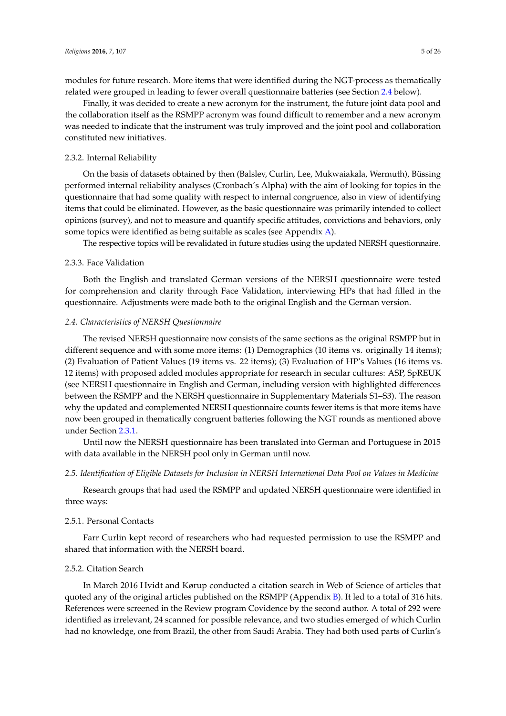modules for future research. More items that were identified during the NGT-process as thematically related were grouped in leading to fewer overall questionnaire batteries (see Section [2.4](#page-5-0) below).

Finally, it was decided to create a new acronym for the instrument, the future joint data pool and the collaboration itself as the RSMPP acronym was found difficult to remember and a new acronym was needed to indicate that the instrument was truly improved and the joint pool and collaboration constituted new initiatives.

#### 2.3.2. Internal Reliability

On the basis of datasets obtained by then (Balslev, Curlin, Lee, Mukwaiakala, Wermuth), Büssing performed internal reliability analyses (Cronbach's Alpha) with the aim of looking for topics in the questionnaire that had some quality with respect to internal congruence, also in view of identifying items that could be eliminated. However, as the basic questionnaire was primarily intended to collect opinions (survey), and not to measure and quantify specific attitudes, convictions and behaviors, only some topics were identified as being suitable as scales (see Appendix [A\)](#page-14-0).

The respective topics will be revalidated in future studies using the updated NERSH questionnaire.

### 2.3.3. Face Validation

Both the English and translated German versions of the NERSH questionnaire were tested for comprehension and clarity through Face Validation, interviewing HPs that had filled in the questionnaire. Adjustments were made both to the original English and the German version.

#### <span id="page-5-0"></span>*2.4. Characteristics of NERSH Questionnaire*

The revised NERSH questionnaire now consists of the same sections as the original RSMPP but in different sequence and with some more items: (1) Demographics (10 items vs. originally 14 items); (2) Evaluation of Patient Values (19 items vs. 22 items); (3) Evaluation of HP's Values (16 items vs. 12 items) with proposed added modules appropriate for research in secular cultures: ASP, SpREUK (see NERSH questionnaire in English and German, including version with highlighted differences between the RSMPP and the NERSH questionnaire in Supplementary Materials S1–S3). The reason why the updated and complemented NERSH questionnaire counts fewer items is that more items have now been grouped in thematically congruent batteries following the NGT rounds as mentioned above under Section [2.3.1.](#page-4-0)

Until now the NERSH questionnaire has been translated into German and Portuguese in 2015 with data available in the NERSH pool only in German until now.

#### *2.5. Identification of Eligible Datasets for Inclusion in NERSH International Data Pool on Values in Medicine*

Research groups that had used the RSMPP and updated NERSH questionnaire were identified in three ways:

#### 2.5.1. Personal Contacts

Farr Curlin kept record of researchers who had requested permission to use the RSMPP and shared that information with the NERSH board.

#### 2.5.2. Citation Search

In March 2016 Hvidt and Kørup conducted a citation search in Web of Science of articles that quoted any of the original articles published on the RSMPP (Appendix  $B$ ). It led to a total of 316 hits. References were screened in the Review program Covidence by the second author. A total of 292 were identified as irrelevant, 24 scanned for possible relevance, and two studies emerged of which Curlin had no knowledge, one from Brazil, the other from Saudi Arabia. They had both used parts of Curlin's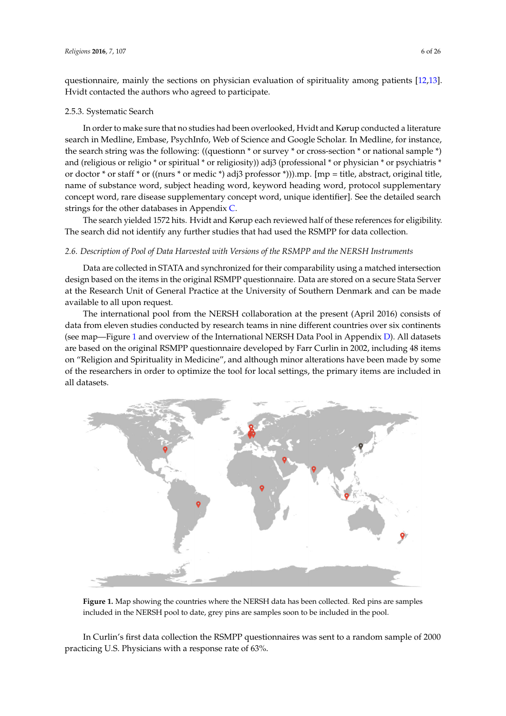questionnaire, mainly the sections on physician evaluation of spirituality among patients [\[12,](#page-22-4)[13\]](#page-22-5). Hvidt contacted the authors who agreed to participate.

#### 2.5.3. Systematic Search

In order to make sure that no studies had been overlooked, Hvidt and Kørup conducted a literature *Religions* **2016**, *7*, 107 6 of 25 search in Medline, Embase, PsychInfo, Web of Science and Google Scholar. In Medline, for instance, the search string was the following: ((questionn  $*$  or survey  $*$  or cross-section  $*$  or national sample  $*$ ) and (religious or religio \* or spiritual \* or religiosity)) adj3 (professional \* or physician \* or psychiatris \* or doctor \* or staff \* or ((nurs \* or medic \*) adj3 professor \*))).mp. [mp = title, abstract, original title, name of substance word, subject heading word, keyword heading word, protocol supplementary concept word, rare disease supplementary concept word, unique identifier]. See the detailed search strings for the other databas[es](#page-15-0) in Appendix C.

The search yielded 1572 hits. Hvidt and Kørup each reviewed half of these references for eligibility. The search yielded 1572 hits. Hvidt and Kørup each reviewed half of these references for The search did not identify any further studies that had used the RSMPP for data collection.

#### *2.6. Description of Pool of Data Harvested with Versions of the RSMPP and the NERSH Instruments* collection.

Data are collected in STATA and synchronized for their comparability using a matched intersection design based on the items in the original RSMPP questionnaire. Data are stored on a secure Stata Server at the Research Unit of General Practice at the University of Southern Denmark and can be made available to all upon request.

The international pool from the NERSH collaboration at the present (April 2016) consists of data from eleven studies conducted by research teams in nine different countries over six continents (see map—Figure 1 and overview of the International NERSH Data Pool in Appendix [D\)](#page-17-0). All datasets are based on the original RSMPP questionnaire developed by Farr Curlin in 2002, including 48 items on "Religion and Spirituality in Medicine", and although minor alterations have been made by some of the researchers in order to optimize the tool for local settings, the primary items are included in all datasets.

<span id="page-6-0"></span>

included in the NERSH pool to date, grey pins are samples soon to be included in the pool. **Figure 1.** Map showing the countries where the NERSH data has been collected. Red pins are samples

included in the NERSH pool to date, grey pins are samples soon to be included in the pool.

In Curlin's first data collection the RSMPP questionnaires was sent to a random sample of 2000 practicing U.S. Physicians with a response rate of 63%. practicing U.S. Physicians with a response rate of 63%.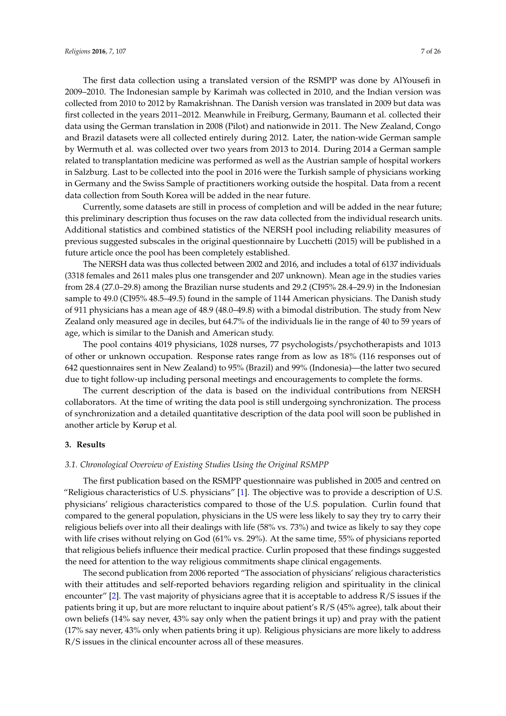The first data collection using a translated version of the RSMPP was done by AlYousefi in 2009–2010. The Indonesian sample by Karimah was collected in 2010, and the Indian version was collected from 2010 to 2012 by Ramakrishnan. The Danish version was translated in 2009 but data was first collected in the years 2011–2012. Meanwhile in Freiburg, Germany, Baumann et al. collected their data using the German translation in 2008 (Pilot) and nationwide in 2011. The New Zealand, Congo and Brazil datasets were all collected entirely during 2012. Later, the nation-wide German sample by Wermuth et al. was collected over two years from 2013 to 2014. During 2014 a German sample related to transplantation medicine was performed as well as the Austrian sample of hospital workers in Salzburg. Last to be collected into the pool in 2016 were the Turkish sample of physicians working in Germany and the Swiss Sample of practitioners working outside the hospital. Data from a recent data collection from South Korea will be added in the near future.

Currently, some datasets are still in process of completion and will be added in the near future; this preliminary description thus focuses on the raw data collected from the individual research units. Additional statistics and combined statistics of the NERSH pool including reliability measures of previous suggested subscales in the original questionnaire by Lucchetti (2015) will be published in a future article once the pool has been completely established.

The NERSH data was thus collected between 2002 and 2016, and includes a total of 6137 individuals (3318 females and 2611 males plus one transgender and 207 unknown). Mean age in the studies varies from 28.4 (27.0–29.8) among the Brazilian nurse students and 29.2 (CI95% 28.4–29.9) in the Indonesian sample to 49.0 (CI95% 48.5–49.5) found in the sample of 1144 American physicians. The Danish study of 911 physicians has a mean age of 48.9 (48.0–49.8) with a bimodal distribution. The study from New Zealand only measured age in deciles, but 64.7% of the individuals lie in the range of 40 to 59 years of age, which is similar to the Danish and American study.

The pool contains 4019 physicians, 1028 nurses, 77 psychologists/psychotherapists and 1013 of other or unknown occupation. Response rates range from as low as 18% (116 responses out of 642 questionnaires sent in New Zealand) to 95% (Brazil) and 99% (Indonesia)—the latter two secured due to tight follow-up including personal meetings and encouragements to complete the forms.

The current description of the data is based on the individual contributions from NERSH collaborators. At the time of writing the data pool is still undergoing synchronization. The process of synchronization and a detailed quantitative description of the data pool will soon be published in another article by Kørup et al.

#### **3. Results**

#### *3.1. Chronological Overview of Existing Studies Using the Original RSMPP*

The first publication based on the RSMPP questionnaire was published in 2005 and centred on "Religious characteristics of U.S. physicians" [\[1\]](#page-22-0). The objective was to provide a description of U.S. physicians' religious characteristics compared to those of the U.S. population. Curlin found that compared to the general population, physicians in the US were less likely to say they try to carry their religious beliefs over into all their dealings with life (58% vs. 73%) and twice as likely to say they cope with life crises without relying on God (61% vs. 29%). At the same time, 55% of physicians reported that religious beliefs influence their medical practice. Curlin proposed that these findings suggested the need for attention to the way religious commitments shape clinical engagements.

The second publication from 2006 reported "The association of physicians' religious characteristics with their attitudes and self-reported behaviors regarding religion and spirituality in the clinical encounter" [\[2\]](#page-22-3). The vast majority of physicians agree that it is acceptable to address  $R/S$  issues if the patients bring it up, but are more reluctant to inquire about patient's R/S (45% agree), talk about their own beliefs (14% say never, 43% say only when the patient brings it up) and pray with the patient (17% say never, 43% only when patients bring it up). Religious physicians are more likely to address R/S issues in the clinical encounter across all of these measures.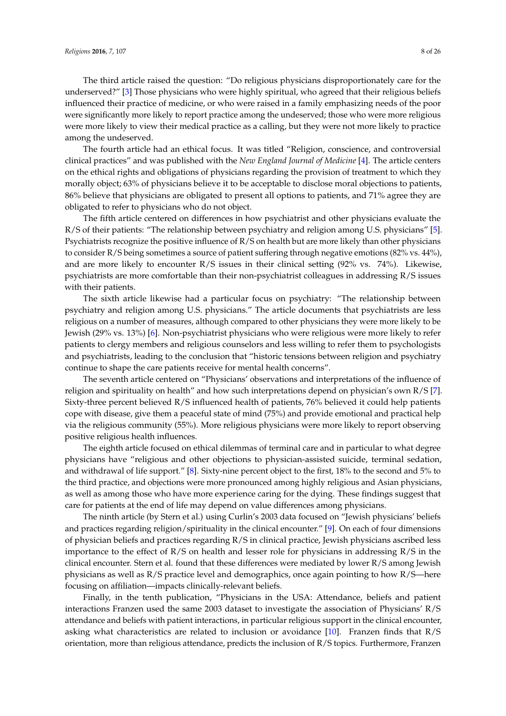among the undeserved.

The fourth article had an ethical focus. It was titled "Religion, conscience, and controversial clinical practices" and was published with the *New England Journal of Medicine* [\[4\]](#page-22-7). The article centers on the ethical rights and obligations of physicians regarding the provision of treatment to which they morally object; 63% of physicians believe it to be acceptable to disclose moral objections to patients, 86% believe that physicians are obligated to present all options to patients, and 71% agree they are obligated to refer to physicians who do not object.

The fifth article centered on differences in how psychiatrist and other physicians evaluate the R/S of their patients: "The relationship between psychiatry and religion among U.S. physicians" [\[5\]](#page-22-8). Psychiatrists recognize the positive influence of R/S on health but are more likely than other physicians to consider R/S being sometimes a source of patient suffering through negative emotions (82% vs. 44%), and are more likely to encounter R/S issues in their clinical setting (92% vs. 74%). Likewise, psychiatrists are more comfortable than their non-psychiatrist colleagues in addressing R/S issues with their patients.

The sixth article likewise had a particular focus on psychiatry: "The relationship between psychiatry and religion among U.S. physicians." The article documents that psychiatrists are less religious on a number of measures, although compared to other physicians they were more likely to be Jewish (29% vs. 13%) [\[6\]](#page-22-9). Non-psychiatrist physicians who were religious were more likely to refer patients to clergy members and religious counselors and less willing to refer them to psychologists and psychiatrists, leading to the conclusion that "historic tensions between religion and psychiatry continue to shape the care patients receive for mental health concerns".

The seventh article centered on "Physicians' observations and interpretations of the influence of religion and spirituality on health" and how such interpretations depend on physician's own R/S [\[7\]](#page-22-10). Sixty-three percent believed R/S influenced health of patients, 76% believed it could help patients cope with disease, give them a peaceful state of mind (75%) and provide emotional and practical help via the religious community (55%). More religious physicians were more likely to report observing positive religious health influences.

The eighth article focused on ethical dilemmas of terminal care and in particular to what degree physicians have "religious and other objections to physician-assisted suicide, terminal sedation, and withdrawal of life support." [\[8\]](#page-22-11). Sixty-nine percent object to the first, 18% to the second and 5% to the third practice, and objections were more pronounced among highly religious and Asian physicians, as well as among those who have more experience caring for the dying. These findings suggest that care for patients at the end of life may depend on value differences among physicians.

The ninth article (by Stern et al.) using Curlin's 2003 data focused on "Jewish physicians' beliefs and practices regarding religion/spirituality in the clinical encounter." [\[9\]](#page-22-12). On each of four dimensions of physician beliefs and practices regarding R/S in clinical practice, Jewish physicians ascribed less importance to the effect of R/S on health and lesser role for physicians in addressing R/S in the clinical encounter. Stern et al. found that these differences were mediated by lower  $R/S$  among Jewish physicians as well as R/S practice level and demographics, once again pointing to how R/S—here focusing on affiliation—impacts clinically-relevant beliefs.

Finally, in the tenth publication, "Physicians in the USA: Attendance, beliefs and patient interactions Franzen used the same 2003 dataset to investigate the association of Physicians' R/S attendance and beliefs with patient interactions, in particular religious support in the clinical encounter, asking what characteristics are related to inclusion or avoidance [\[10\]](#page-22-1). Franzen finds that R/S orientation, more than religious attendance, predicts the inclusion of R/S topics. Furthermore, Franzen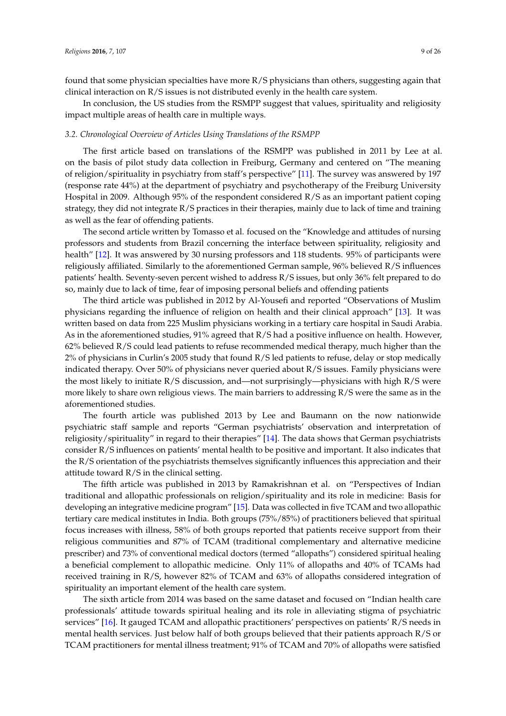found that some physician specialties have more R/S physicians than others, suggesting again that clinical interaction on R/S issues is not distributed evenly in the health care system.

In conclusion, the US studies from the RSMPP suggest that values, spirituality and religiosity impact multiple areas of health care in multiple ways.

#### *3.2. Chronological Overview of Articles Using Translations of the RSMPP*

The first article based on translations of the RSMPP was published in 2011 by Lee at al. on the basis of pilot study data collection in Freiburg, Germany and centered on "The meaning of religion/spirituality in psychiatry from staff's perspective" [\[11\]](#page-22-2). The survey was answered by 197 (response rate 44%) at the department of psychiatry and psychotherapy of the Freiburg University Hospital in 2009. Although 95% of the respondent considered R/S as an important patient coping strategy, they did not integrate R/S practices in their therapies, mainly due to lack of time and training as well as the fear of offending patients.

The second article written by Tomasso et al. focused on the "Knowledge and attitudes of nursing professors and students from Brazil concerning the interface between spirituality, religiosity and health" [\[12\]](#page-22-4). It was answered by 30 nursing professors and 118 students. 95% of participants were religiously affiliated. Similarly to the aforementioned German sample, 96% believed R/S influences patients' health. Seventy-seven percent wished to address R/S issues, but only 36% felt prepared to do so, mainly due to lack of time, fear of imposing personal beliefs and offending patients

The third article was published in 2012 by Al-Yousefi and reported "Observations of Muslim physicians regarding the influence of religion on health and their clinical approach" [\[13\]](#page-22-5). It was written based on data from 225 Muslim physicians working in a tertiary care hospital in Saudi Arabia. As in the aforementioned studies, 91% agreed that R/S had a positive influence on health. However, 62% believed R/S could lead patients to refuse recommended medical therapy, much higher than the 2% of physicians in Curlin's 2005 study that found R/S led patients to refuse, delay or stop medically indicated therapy. Over 50% of physicians never queried about R/S issues. Family physicians were the most likely to initiate R/S discussion, and—not surprisingly—physicians with high R/S were more likely to share own religious views. The main barriers to addressing R/S were the same as in the aforementioned studies.

The fourth article was published 2013 by Lee and Baumann on the now nationwide psychiatric staff sample and reports "German psychiatrists' observation and interpretation of religiosity/spirituality" in regard to their therapies" [\[14\]](#page-22-13). The data shows that German psychiatrists consider R/S influences on patients' mental health to be positive and important. It also indicates that the R/S orientation of the psychiatrists themselves significantly influences this appreciation and their attitude toward R/S in the clinical setting.

The fifth article was published in 2013 by Ramakrishnan et al. on "Perspectives of Indian traditional and allopathic professionals on religion/spirituality and its role in medicine: Basis for developing an integrative medicine program" [\[15\]](#page-22-14). Data was collected in five TCAM and two allopathic tertiary care medical institutes in India. Both groups (75%/85%) of practitioners believed that spiritual focus increases with illness, 58% of both groups reported that patients receive support from their religious communities and 87% of TCAM (traditional complementary and alternative medicine prescriber) and 73% of conventional medical doctors (termed "allopaths") considered spiritual healing a beneficial complement to allopathic medicine. Only 11% of allopaths and 40% of TCAMs had received training in R/S, however 82% of TCAM and 63% of allopaths considered integration of spirituality an important element of the health care system.

The sixth article from 2014 was based on the same dataset and focused on "Indian health care professionals' attitude towards spiritual healing and its role in alleviating stigma of psychiatric services" [\[16\]](#page-22-15). It gauged TCAM and allopathic practitioners' perspectives on patients' R/S needs in mental health services. Just below half of both groups believed that their patients approach R/S or TCAM practitioners for mental illness treatment; 91% of TCAM and 70% of allopaths were satisfied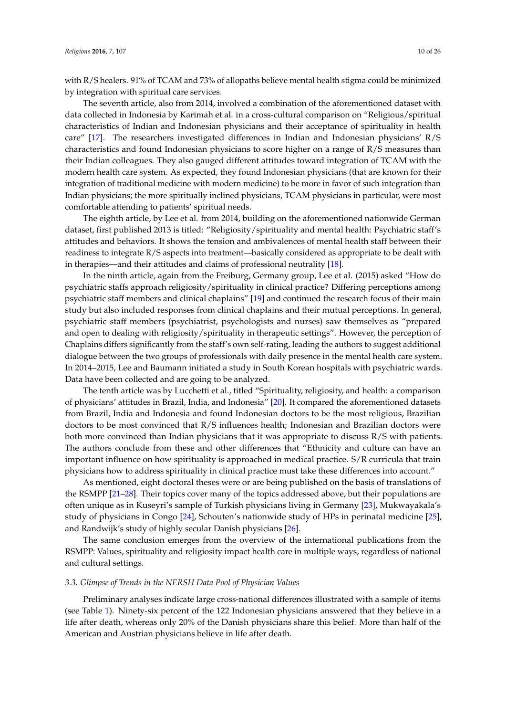with R/S healers. 91% of TCAM and 73% of allopaths believe mental health stigma could be minimized by integration with spiritual care services.

The seventh article, also from 2014, involved a combination of the aforementioned dataset with data collected in Indonesia by Karimah et al. in a cross-cultural comparison on "Religious/spiritual characteristics of Indian and Indonesian physicians and their acceptance of spirituality in health care" [\[17\]](#page-23-12). The researchers investigated differences in Indian and Indonesian physicians' R/S characteristics and found Indonesian physicians to score higher on a range of R/S measures than their Indian colleagues. They also gauged different attitudes toward integration of TCAM with the modern health care system. As expected, they found Indonesian physicians (that are known for their integration of traditional medicine with modern medicine) to be more in favor of such integration than Indian physicians; the more spiritually inclined physicians, TCAM physicians in particular, were most comfortable attending to patients' spiritual needs.

The eighth article, by Lee et al. from 2014, building on the aforementioned nationwide German dataset, first published 2013 is titled: "Religiosity/spirituality and mental health: Psychiatric staff's attitudes and behaviors. It shows the tension and ambivalences of mental health staff between their readiness to integrate R/S aspects into treatment—basically considered as appropriate to be dealt with in therapies—and their attitudes and claims of professional neutrality [\[18\]](#page-23-13).

In the ninth article, again from the Freiburg, Germany group, Lee et al. (2015) asked "How do psychiatric staffs approach religiosity/spirituality in clinical practice? Differing perceptions among psychiatric staff members and clinical chaplains" [\[19\]](#page-23-14) and continued the research focus of their main study but also included responses from clinical chaplains and their mutual perceptions. In general, psychiatric staff members (psychiatrist, psychologists and nurses) saw themselves as "prepared and open to dealing with religiosity/spirituality in therapeutic settings". However, the perception of Chaplains differs significantly from the staff's own self-rating, leading the authors to suggest additional dialogue between the two groups of professionals with daily presence in the mental health care system. In 2014–2015, Lee and Baumann initiated a study in South Korean hospitals with psychiatric wards. Data have been collected and are going to be analyzed.

The tenth article was by Lucchetti et al., titled "Spirituality, religiosity, and health: a comparison of physicians' attitudes in Brazil, India, and Indonesia" [\[20\]](#page-23-8). It compared the aforementioned datasets from Brazil, India and Indonesia and found Indonesian doctors to be the most religious, Brazilian doctors to be most convinced that R/S influences health; Indonesian and Brazilian doctors were both more convinced than Indian physicians that it was appropriate to discuss R/S with patients. The authors conclude from these and other differences that "Ethnicity and culture can have an important influence on how spirituality is approached in medical practice. S/R curricula that train physicians how to address spirituality in clinical practice must take these differences into account."

As mentioned, eight doctoral theses were or are being published on the basis of translations of the RSMPP [\[21–](#page-23-9)[28\]](#page-23-0). Their topics cover many of the topics addressed above, but their populations are often unique as in Kuseyri's sample of Turkish physicians living in Germany [\[23\]](#page-23-15), Mukwayakala's study of physicians in Congo [\[24\]](#page-23-16), Schouten's nationwide study of HPs in perinatal medicine [\[25\]](#page-23-17), and Randwijk's study of highly secular Danish physicians [\[26\]](#page-23-11).

The same conclusion emerges from the overview of the international publications from the RSMPP: Values, spirituality and religiosity impact health care in multiple ways, regardless of national and cultural settings.

#### *3.3. Glimpse of Trends in the NERSH Data Pool of Physician Values*

Preliminary analyses indicate large cross-national differences illustrated with a sample of items (see Table [1\)](#page-11-0). Ninety-six percent of the 122 Indonesian physicians answered that they believe in a life after death, whereas only 20% of the Danish physicians share this belief. More than half of the American and Austrian physicians believe in life after death.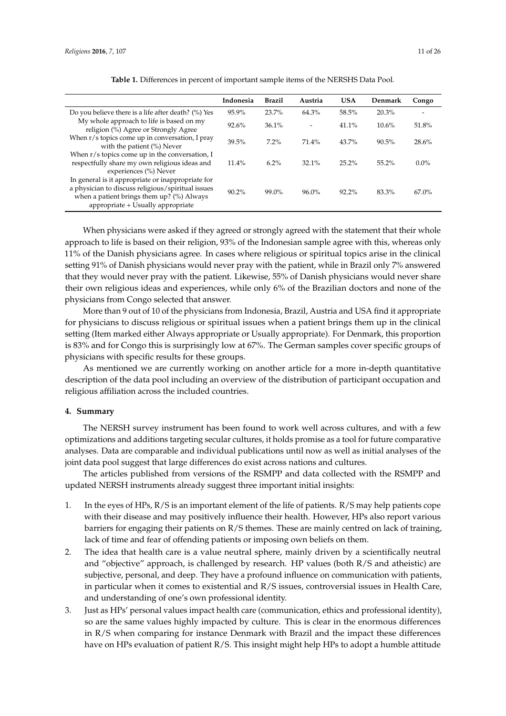<span id="page-11-0"></span>

|                                                                                                                                                                                             | Indonesia | <b>Brazil</b> | Austria                  | <b>USA</b> | Denmark  | Congo    |
|---------------------------------------------------------------------------------------------------------------------------------------------------------------------------------------------|-----------|---------------|--------------------------|------------|----------|----------|
| Do you believe there is a life after death? (%) Yes                                                                                                                                         | $95.9\%$  | $23.7\%$      | 64.3%                    | 58.5%      | 20.3%    |          |
| My whole approach to life is based on my<br>religion (%) Agree or Strongly Agree                                                                                                            | 92.6%     | $36.1\%$      | $\overline{\phantom{0}}$ | 41.1%      | $10.6\%$ | 51.8%    |
| When $r/s$ topics come up in conversation, I pray<br>with the patient $(\% )$ Never                                                                                                         | 39.5%     | 7.2%          | $71.4\%$                 | $43.7\%$   | $90.5\%$ | 28.6%    |
| When $r/s$ topics come up in the conversation, I<br>respectfully share my own religious ideas and<br>experiences (%) Never                                                                  | $11.4\%$  | $6.2\%$       | $32.1\%$                 | $25.2\%$   | $55.2\%$ | $0.0\%$  |
| In general is it appropriate or inappropriate for<br>a physician to discuss religious/spiritual issues<br>when a patient brings them up? $(\%)$ Always<br>appropriate + Usually appropriate | $90.2\%$  | $99.0\%$      | $96.0\%$                 | $92.2\%$   | 83.3%    | $67.0\%$ |

**Table 1.** Differences in percent of important sample items of the NERSHS Data Pool.

When physicians were asked if they agreed or strongly agreed with the statement that their whole approach to life is based on their religion, 93% of the Indonesian sample agree with this, whereas only 11% of the Danish physicians agree. In cases where religious or spiritual topics arise in the clinical setting 91% of Danish physicians would never pray with the patient, while in Brazil only 7% answered that they would never pray with the patient. Likewise, 55% of Danish physicians would never share their own religious ideas and experiences, while only 6% of the Brazilian doctors and none of the physicians from Congo selected that answer.

More than 9 out of 10 of the physicians from Indonesia, Brazil, Austria and USA find it appropriate for physicians to discuss religious or spiritual issues when a patient brings them up in the clinical setting (Item marked either Always appropriate or Usually appropriate). For Denmark, this proportion is 83% and for Congo this is surprisingly low at 67%. The German samples cover specific groups of physicians with specific results for these groups.

As mentioned we are currently working on another article for a more in-depth quantitative description of the data pool including an overview of the distribution of participant occupation and religious affiliation across the included countries.

# **4. Summary**

The NERSH survey instrument has been found to work well across cultures, and with a few optimizations and additions targeting secular cultures, it holds promise as a tool for future comparative analyses. Data are comparable and individual publications until now as well as initial analyses of the joint data pool suggest that large differences do exist across nations and cultures.

The articles published from versions of the RSMPP and data collected with the RSMPP and updated NERSH instruments already suggest three important initial insights:

- 1. In the eyes of HPs, R/S is an important element of the life of patients. R/S may help patients cope with their disease and may positively influence their health. However, HPs also report various barriers for engaging their patients on R/S themes. These are mainly centred on lack of training, lack of time and fear of offending patients or imposing own beliefs on them.
- 2. The idea that health care is a value neutral sphere, mainly driven by a scientifically neutral and "objective" approach, is challenged by research. HP values (both R/S and atheistic) are subjective, personal, and deep. They have a profound influence on communication with patients, in particular when it comes to existential and R/S issues, controversial issues in Health Care, and understanding of one's own professional identity.
- 3. Just as HPs' personal values impact health care (communication, ethics and professional identity), so are the same values highly impacted by culture. This is clear in the enormous differences in R/S when comparing for instance Denmark with Brazil and the impact these differences have on HPs evaluation of patient R/S. This insight might help HPs to adopt a humble attitude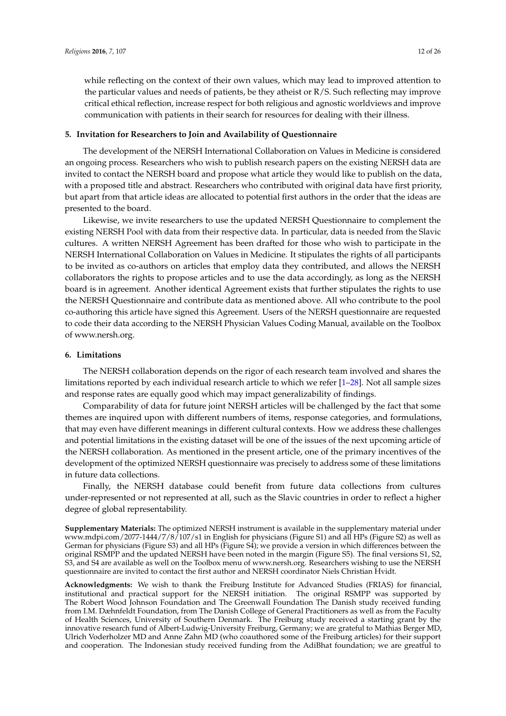while reflecting on the context of their own values, which may lead to improved attention to the particular values and needs of patients, be they atheist or R/S. Such reflecting may improve critical ethical reflection, increase respect for both religious and agnostic worldviews and improve communication with patients in their search for resources for dealing with their illness.

#### **5. Invitation for Researchers to Join and Availability of Questionnaire**

The development of the NERSH International Collaboration on Values in Medicine is considered an ongoing process. Researchers who wish to publish research papers on the existing NERSH data are invited to contact the NERSH board and propose what article they would like to publish on the data, with a proposed title and abstract. Researchers who contributed with original data have first priority, but apart from that article ideas are allocated to potential first authors in the order that the ideas are presented to the board.

Likewise, we invite researchers to use the updated NERSH Questionnaire to complement the existing NERSH Pool with data from their respective data. In particular, data is needed from the Slavic cultures. A written NERSH Agreement has been drafted for those who wish to participate in the NERSH International Collaboration on Values in Medicine. It stipulates the rights of all participants to be invited as co-authors on articles that employ data they contributed, and allows the NERSH collaborators the rights to propose articles and to use the data accordingly, as long as the NERSH board is in agreement. Another identical Agreement exists that further stipulates the rights to use the NERSH Questionnaire and contribute data as mentioned above. All who contribute to the pool co-authoring this article have signed this Agreement. Users of the NERSH questionnaire are requested to code their data according to the NERSH Physician Values Coding Manual, available on the Toolbox of www.nersh.org.

#### **6. Limitations**

The NERSH collaboration depends on the rigor of each research team involved and shares the limitations reported by each individual research article to which we refer [\[1](#page-22-0)[–28\]](#page-23-0). Not all sample sizes and response rates are equally good which may impact generalizability of findings.

Comparability of data for future joint NERSH articles will be challenged by the fact that some themes are inquired upon with different numbers of items, response categories, and formulations, that may even have different meanings in different cultural contexts. How we address these challenges and potential limitations in the existing dataset will be one of the issues of the next upcoming article of the NERSH collaboration. As mentioned in the present article, one of the primary incentives of the development of the optimized NERSH questionnaire was precisely to address some of these limitations in future data collections.

Finally, the NERSH database could benefit from future data collections from cultures under-represented or not represented at all, such as the Slavic countries in order to reflect a higher degree of global representability.

**Supplementary Materials:** The optimized NERSH instrument is available in the supplementary material under www.mdpi.com/2077-1444/7/8/107/s1 in English for physicians (Figure S1) and all HPs (Figure S2) as well as German for physicians (Figure S3) and all HPs (Figure S4); we provide a version in which differences between the original RSMPP and the updated NERSH have been noted in the margin (Figure S5). The final versions S1, S2, S3, and S4 are available as well on the Toolbox menu of www.nersh.org. Researchers wishing to use the NERSH questionnaire are invited to contact the first author and NERSH coordinator Niels Christian Hvidt.

**Acknowledgments:** We wish to thank the Freiburg Institute for Advanced Studies (FRIAS) for financial, institutional and practical support for the NERSH initiation. The original RSMPP was supported by The Robert Wood Johnson Foundation and The Greenwall Foundation The Danish study received funding from I.M. Dæhnfeldt Foundation, from The Danish College of General Practitioners as well as from the Faculty of Health Sciences, University of Southern Denmark. The Freiburg study received a starting grant by the innovative research fund of Albert-Ludwig-University Freiburg, Germany; we are grateful to Mathias Berger MD, Ulrich Voderholzer MD and Anne Zahn MD (who coauthored some of the Freiburg articles) for their support and cooperation. The Indonesian study received funding from the AdiBhat foundation; we are greatful to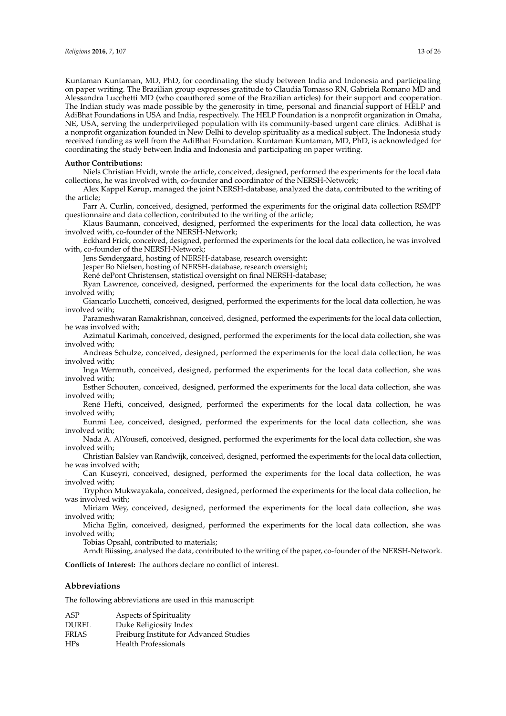Kuntaman Kuntaman, MD, PhD, for coordinating the study between India and Indonesia and participating on paper writing. The Brazilian group expresses gratitude to Claudia Tomasso RN, Gabriela Romano MD and Alessandra Lucchetti MD (who coauthored some of the Brazilian articles) for their support and cooperation. The Indian study was made possible by the generosity in time, personal and financial support of HELP and AdiBhat Foundations in USA and India, respectively. The HELP Foundation is a nonprofit organization in Omaha, NE, USA, serving the underprivileged population with its community-based urgent care clinics. AdiBhat is a nonprofit organization founded in New Delhi to develop spirituality as a medical subject. The Indonesia study received funding as well from the AdiBhat Foundation. Kuntaman Kuntaman, MD, PhD, is acknowledged for coordinating the study between India and Indonesia and participating on paper writing.

#### **Author Contributions:**

Niels Christian Hvidt, wrote the article, conceived, designed, performed the experiments for the local data collections, he was involved with, co-founder and coordinator of the NERSH-Network;

Alex Kappel Kørup, managed the joint NERSH-database, analyzed the data, contributed to the writing of the article;

Farr A. Curlin, conceived, designed, performed the experiments for the original data collection RSMPP questionnaire and data collection, contributed to the writing of the article;

Klaus Baumann, conceived, designed, performed the experiments for the local data collection, he was involved with, co-founder of the NERSH-Network;

Eckhard Frick, conceived, designed, performed the experiments for the local data collection, he was involved with, co-founder of the NERSH-Network;

Jens Søndergaard, hosting of NERSH-database, research oversight;

Jesper Bo Nielsen, hosting of NERSH-database, research oversight;

René dePont Christensen, statistical oversight on final NERSH-database;

Ryan Lawrence, conceived, designed, performed the experiments for the local data collection, he was involved with;

Giancarlo Lucchetti, conceived, designed, performed the experiments for the local data collection, he was involved with;

Parameshwaran Ramakrishnan, conceived, designed, performed the experiments for the local data collection, he was involved with;

Azimatul Karimah, conceived, designed, performed the experiments for the local data collection, she was involved with;

Andreas Schulze, conceived, designed, performed the experiments for the local data collection, he was involved with;

Inga Wermuth, conceived, designed, performed the experiments for the local data collection, she was involved with;

Esther Schouten, conceived, designed, performed the experiments for the local data collection, she was involved with;

René Hefti, conceived, designed, performed the experiments for the local data collection, he was involved with;

Eunmi Lee, conceived, designed, performed the experiments for the local data collection, she was involved with;

Nada A. AlYousefi, conceived, designed, performed the experiments for the local data collection, she was involved with;

Christian Balslev van Randwijk, conceived, designed, performed the experiments for the local data collection, he was involved with;

Can Kuseyri, conceived, designed, performed the experiments for the local data collection, he was involved with;

Tryphon Mukwayakala, conceived, designed, performed the experiments for the local data collection, he was involved with;

Miriam Wey, conceived, designed, performed the experiments for the local data collection, she was involved with;

Micha Eglin, conceived, designed, performed the experiments for the local data collection, she was involved with;

Tobias Opsahl, contributed to materials;

Arndt Büssing, analysed the data, contributed to the writing of the paper, co-founder of the NERSH-Network.

**Conflicts of Interest:** The authors declare no conflict of interest.

#### **Abbreviations**

The following abbreviations are used in this manuscript:

| ASP          | Aspects of Spirituality                 |
|--------------|-----------------------------------------|
| <b>DUREL</b> | Duke Religiosity Index                  |
| <b>FRIAS</b> | Freiburg Institute for Advanced Studies |
| HPs          | <b>Health Professionals</b>             |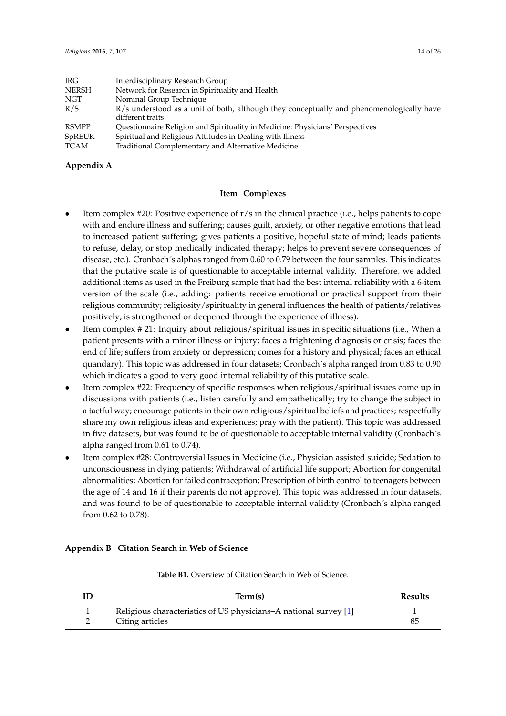| IRG.         | Interdisciplinary Research Group                                                                             |
|--------------|--------------------------------------------------------------------------------------------------------------|
| <b>NERSH</b> | Network for Research in Spirituality and Health                                                              |
| NGT          | Nominal Group Technique                                                                                      |
| R/S          | R/s understood as a unit of both, although they conceptually and phenomenologically have<br>different traits |
| <b>RSMPP</b> | Questionnaire Religion and Spirituality in Medicine: Physicians' Perspectives                                |
| SpREUK       | Spiritual and Religious Attitudes in Dealing with Illness                                                    |
| TCAM         | Traditional Complementary and Alternative Medicine                                                           |

# <span id="page-14-0"></span>**Appendix A**

### **Item Complexes**

- Item complex #20: Positive experience of  $r/s$  in the clinical practice (i.e., helps patients to cope with and endure illness and suffering; causes guilt, anxiety, or other negative emotions that lead to increased patient suffering; gives patients a positive, hopeful state of mind; leads patients to refuse, delay, or stop medically indicated therapy; helps to prevent severe consequences of disease, etc.). Cronbach´s alphas ranged from 0.60 to 0.79 between the four samples. This indicates that the putative scale is of questionable to acceptable internal validity. Therefore, we added additional items as used in the Freiburg sample that had the best internal reliability with a 6-item version of the scale (i.e., adding: patients receive emotional or practical support from their religious community; religiosity/spirituality in general influences the health of patients/relatives positively; is strengthened or deepened through the experience of illness).
- Item complex # 21: Inquiry about religious/spiritual issues in specific situations (i.e., When a patient presents with a minor illness or injury; faces a frightening diagnosis or crisis; faces the end of life; suffers from anxiety or depression; comes for a history and physical; faces an ethical quandary). This topic was addressed in four datasets; Cronbach´s alpha ranged from 0.83 to 0.90 which indicates a good to very good internal reliability of this putative scale.
- Item complex #22: Frequency of specific responses when religious/spiritual issues come up in discussions with patients (i.e., listen carefully and empathetically; try to change the subject in a tactful way; encourage patients in their own religious/spiritual beliefs and practices; respectfully share my own religious ideas and experiences; pray with the patient). This topic was addressed in five datasets, but was found to be of questionable to acceptable internal validity (Cronbach´s alpha ranged from 0.61 to 0.74).
- Item complex #28: Controversial Issues in Medicine (i.e., Physician assisted suicide; Sedation to unconsciousness in dying patients; Withdrawal of artificial life support; Abortion for congenital abnormalities; Abortion for failed contraception; Prescription of birth control to teenagers between the age of 14 and 16 if their parents do not approve). This topic was addressed in four datasets, and was found to be of questionable to acceptable internal validity (Cronbach´s alpha ranged from 0.62 to 0.78).

# <span id="page-14-1"></span>**Appendix B Citation Search in Web of Science**

| Term(s)                                                          | <b>Results</b> |
|------------------------------------------------------------------|----------------|
| Religious characteristics of US physicians–A national survey [1] |                |
| Citing articles                                                  | 85             |

#### **Table B1.** Overview of Citation Search in Web of Science.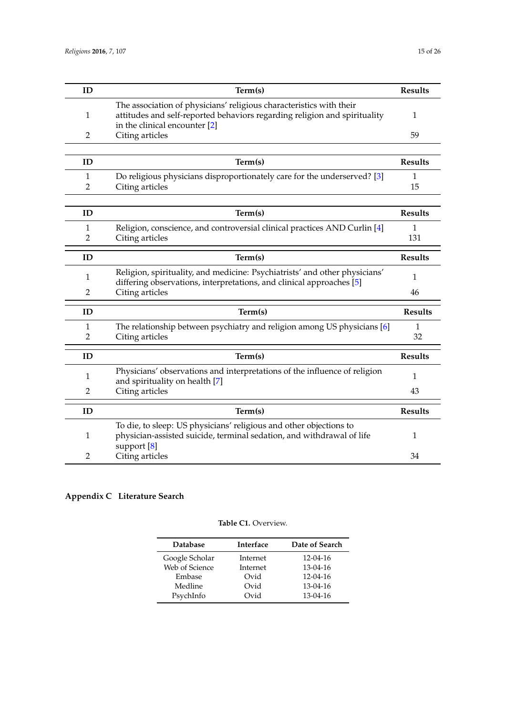$\overline{\phantom{a}}$ 

| ID                  | Term(s)                                                                                                                                                                           | <b>Results</b> |
|---------------------|-----------------------------------------------------------------------------------------------------------------------------------------------------------------------------------|----------------|
| $\mathbf{1}$        | The association of physicians' religious characteristics with their<br>attitudes and self-reported behaviors regarding religion and spirituality<br>in the clinical encounter [2] | 1              |
| $\overline{2}$      | Citing articles                                                                                                                                                                   | 59             |
|                     |                                                                                                                                                                                   |                |
| ID                  | Term(s)                                                                                                                                                                           | <b>Results</b> |
| 1<br>$\overline{2}$ | Do religious physicians disproportionately care for the underserved? [3]<br>Citing articles                                                                                       | 1<br>15        |
| ID                  | Term(s)                                                                                                                                                                           | <b>Results</b> |
| 1<br>$\overline{2}$ | Religion, conscience, and controversial clinical practices AND Curlin [4]<br>Citing articles                                                                                      | 1<br>131       |
| ID                  | Term(s)                                                                                                                                                                           | <b>Results</b> |
| $\mathbf{1}$        | Religion, spirituality, and medicine: Psychiatrists' and other physicians'<br>differing observations, interpretations, and clinical approaches [5]                                | 1              |
| 2                   | Citing articles                                                                                                                                                                   | 46             |
| ID                  | Term(s)                                                                                                                                                                           | <b>Results</b> |
| 1<br>2              | The relationship between psychiatry and religion among US physicians [6]                                                                                                          | 1<br>32        |
|                     | Citing articles                                                                                                                                                                   |                |
| ID                  | Term(s)                                                                                                                                                                           | <b>Results</b> |
| $\mathbf{1}$        | Physicians' observations and interpretations of the influence of religion<br>and spirituality on health [7]                                                                       | 1              |
| 2                   | Citing articles                                                                                                                                                                   | 43             |
| ID                  | Term(s)                                                                                                                                                                           | <b>Results</b> |
| 1                   | To die, to sleep: US physicians' religious and other objections to<br>physician-assisted suicide, terminal sedation, and withdrawal of life<br>support $[8]$                      | 1              |
| 2                   | Citing articles                                                                                                                                                                   | 34             |

# <span id="page-15-0"></span>**Appendix C Literature Search**

# **Table C1.** Overview.

| Database       | Interface | Date of Search |
|----------------|-----------|----------------|
| Google Scholar | Internet  | $12 - 04 - 16$ |
| Web of Science | Internet  | $13-04-16$     |
| Embase         | Ovid      | $12 - 04 - 16$ |
| Medline        | Ovid      | 13-04-16       |
| PsychInfo      | Ovid      | $13-04-16$     |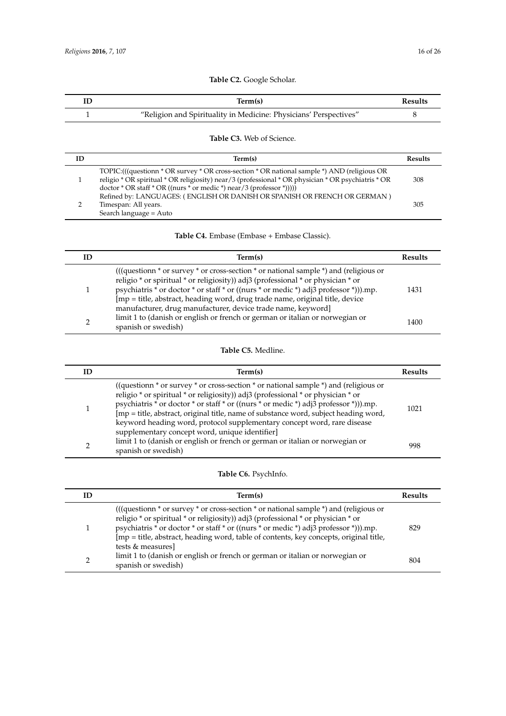| Term(s)                                                           | <b>Results</b> |
|-------------------------------------------------------------------|----------------|
| "Religion and Spirituality in Medicine: Physicians' Perspectives" |                |

# **Table C3.** Web of Science.

| ID | Term(s)                                                                                                                                                                                                                                                                    | <b>Results</b> |
|----|----------------------------------------------------------------------------------------------------------------------------------------------------------------------------------------------------------------------------------------------------------------------------|----------------|
|    | TOPIC:((questionn * OR survey * OR cross-section * OR national sample *) AND (religious OR<br>religio * OR spiritual * OR religiosity) near/3 (professional * OR physician * OR psychiatris * OR<br>doctor * OR staff * OR ((nurs * or medic *) $near/3$ (professor *))))) | 308            |
|    | Refined by: LANGUAGES: (ENGLISH OR DANISH OR SPANISH OR FRENCH OR GERMAN)<br>Timespan: All years.<br>Search language = Auto                                                                                                                                                | 305            |

# Table C4. Embase (Embase + Embase Classic).

| ΙD | Term(s)                                                                                                                                                                                                                                                                                                                                                                                                          | <b>Results</b> |
|----|------------------------------------------------------------------------------------------------------------------------------------------------------------------------------------------------------------------------------------------------------------------------------------------------------------------------------------------------------------------------------------------------------------------|----------------|
|    | ((questionn * or survey * or cross-section * or national sample *) and (religious or<br>religio * or spiritual * or religiosity)) adj3 (professional * or physician * or<br>psychiatris * or doctor * or staff * or ((nurs * or medic *) adj3 professor *))).mp.<br>[mp = title, abstract, heading word, drug trade name, original title, device<br>manufacturer, drug manufacturer, device trade name, keyword] | 1431           |
| ∍  | limit 1 to (danish or english or french or german or italian or norwegian or<br>spanish or swedish)                                                                                                                                                                                                                                                                                                              | 1400           |

# **Table C5.** Medline.

| ΙD | Term(s)                                                                                                                                                                                                                                                                                                                                                                                                                                                                                        | <b>Results</b> |
|----|------------------------------------------------------------------------------------------------------------------------------------------------------------------------------------------------------------------------------------------------------------------------------------------------------------------------------------------------------------------------------------------------------------------------------------------------------------------------------------------------|----------------|
|    | ((questionn $*$ or survey $*$ or cross-section $*$ or national sample $*$ ) and (religious or<br>religio * or spiritual * or religiosity)) adj3 (professional * or physician * or<br>psychiatris * or doctor * or staff * or ((nurs * or medic *) adj3 professor *))).mp.<br>[mp = title, abstract, original title, name of substance word, subject heading word,<br>keyword heading word, protocol supplementary concept word, rare disease<br>supplementary concept word, unique identifier] | 1021           |
| ∍  | limit 1 to (danish or english or french or german or italian or norwegian or<br>spanish or swedish)                                                                                                                                                                                                                                                                                                                                                                                            | 998            |

# **Table C6.** PsychInfo.

| ΙD | Term(s)                                                                                                                                                                                                                                                                                                                                                            | <b>Results</b> |
|----|--------------------------------------------------------------------------------------------------------------------------------------------------------------------------------------------------------------------------------------------------------------------------------------------------------------------------------------------------------------------|----------------|
|    | ((questionn $*$ or survey $*$ or cross-section $*$ or national sample $*$ ) and (religious or<br>religio * or spiritual * or religiosity)) adj3 (professional * or physician * or<br>psychiatris * or doctor * or staff * or ((nurs * or medic *) adj3 professor *))).mp.<br>[mp = title, abstract, heading word, table of contents, key concepts, original title, | 829            |
| ∍  | tests & measures]<br>limit 1 to (danish or english or french or german or italian or norwegian or<br>spanish or swedish)                                                                                                                                                                                                                                           | 804            |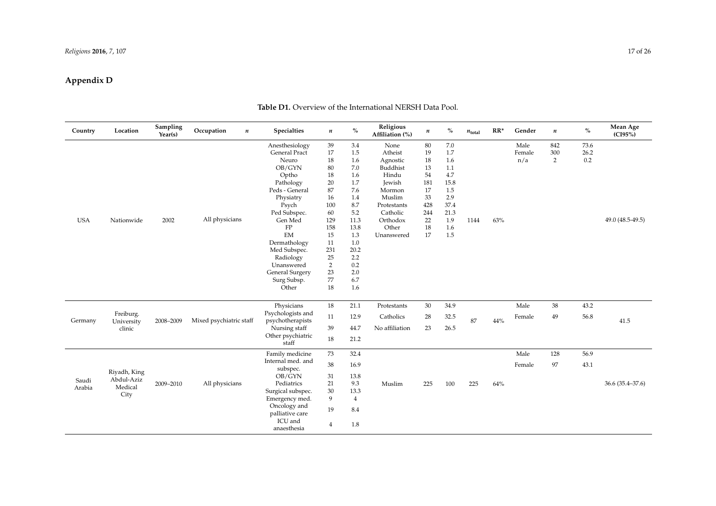# *Religions* **2016**, *7*, 107 17 of 26

# **Appendix D**

<span id="page-17-0"></span>

| None<br>80<br>Male<br>842<br>Anesthesiology<br>39<br>3.4<br>7.0<br>73.6<br>300<br><b>General Pract</b><br>17<br>1.5<br>Atheist<br>19<br>1.7<br>Female<br>26.2<br>Neuro<br>18<br>$\overline{2}$<br>0.2<br>1.6<br>18<br>1.6<br>n/a<br>Agnostic<br>OB/GYN<br>80<br>13<br>7.0<br>Buddhist<br>1.1<br>Optho<br>Hindu<br>54<br>18<br>1.6<br>4.7<br>Pathology<br>20<br>181<br>15.8<br>1.7<br>Jewish<br>87<br>Peds - General<br>7.6<br>17<br>1.5<br>Mormon<br>33<br>2.9<br>16<br>1.4<br>Muslim<br>Physiatry<br>Psych<br>8.7<br>428<br>37.4<br>100<br>Protestants<br>60<br>Catholic<br>244<br>21.3<br>Ped Subspec.<br>5.2<br>All physicians<br><b>USA</b><br>2002<br>Gen Med<br>129<br>Orthodox<br>22<br>1.9<br>11.3<br>1144<br>63%<br>Nationwide<br>${\rm FP}$<br>158<br>Other<br>18<br>13.8<br>1.6<br>EM<br>17<br>15<br>1.5<br>1.3<br>Unanswered<br>Dermathology<br>11<br>1.0<br>231<br>20.2<br>Med Subspec.<br>25<br>2.2<br>Radiology<br>$\overline{2}$<br>Unanswered<br>0.2<br>23<br>General Surgery<br>2.0<br>Surg Subsp.<br>77<br>6.7<br>Other<br>18<br>1.6<br>Physicians<br>Male<br>18<br>21.1<br>$30\,$<br>34.9<br>38<br>43.2<br>Protestants<br>Psychologists and<br>Freiburg.<br>Catholics<br>56.8<br>11<br>12.9<br>28<br>32.5<br>Female<br>49<br>Germany<br>Mixed psychiatric staff<br>psychotherapists<br>87<br>44%<br>2008-2009<br>41.5<br>University<br>Nursing staff<br>39<br>No affiliation<br>23<br>26.5<br>44.7<br>clinic<br>Other psychiatric<br>18<br>21.2<br>staff<br>Male<br>56.9<br>Family medicine<br>73<br>32.4<br>128<br>Internal med. and<br>$38\,$<br>16.9<br>97<br>43.1<br>Female<br>subspec.<br>Riyadh, King<br>$OB/\bar{G}YN$<br>31<br>13.8<br>Abdul-Aziz<br>Saudi<br>2009-2010<br>All physicians<br>Pediatrics<br>21<br>9.3<br>225<br>100<br>225<br>64%<br>Muslim | Country | Location        | Sampling<br>Year(s) | Occupation<br>$\boldsymbol{n}$ | Specialties       | $\boldsymbol{n}$ | $\%$ | Religious<br>Affiliation (%) | $\boldsymbol{n}$ | $\%$ | $n_{\text{total}}$ | $RR*$ | Gender | $\boldsymbol{n}$ | $\%$ | Mean Age<br>(CI95%) |
|----------------------------------------------------------------------------------------------------------------------------------------------------------------------------------------------------------------------------------------------------------------------------------------------------------------------------------------------------------------------------------------------------------------------------------------------------------------------------------------------------------------------------------------------------------------------------------------------------------------------------------------------------------------------------------------------------------------------------------------------------------------------------------------------------------------------------------------------------------------------------------------------------------------------------------------------------------------------------------------------------------------------------------------------------------------------------------------------------------------------------------------------------------------------------------------------------------------------------------------------------------------------------------------------------------------------------------------------------------------------------------------------------------------------------------------------------------------------------------------------------------------------------------------------------------------------------------------------------------------------------------------------------------------------------------------------------------------------------------------------------------------------------------------|---------|-----------------|---------------------|--------------------------------|-------------------|------------------|------|------------------------------|------------------|------|--------------------|-------|--------|------------------|------|---------------------|
|                                                                                                                                                                                                                                                                                                                                                                                                                                                                                                                                                                                                                                                                                                                                                                                                                                                                                                                                                                                                                                                                                                                                                                                                                                                                                                                                                                                                                                                                                                                                                                                                                                                                                                                                                                                        |         |                 |                     |                                |                   |                  |      |                              |                  |      |                    |       |        |                  |      |                     |
|                                                                                                                                                                                                                                                                                                                                                                                                                                                                                                                                                                                                                                                                                                                                                                                                                                                                                                                                                                                                                                                                                                                                                                                                                                                                                                                                                                                                                                                                                                                                                                                                                                                                                                                                                                                        |         |                 |                     |                                |                   |                  |      |                              |                  |      |                    |       |        |                  |      |                     |
|                                                                                                                                                                                                                                                                                                                                                                                                                                                                                                                                                                                                                                                                                                                                                                                                                                                                                                                                                                                                                                                                                                                                                                                                                                                                                                                                                                                                                                                                                                                                                                                                                                                                                                                                                                                        |         |                 |                     |                                |                   |                  |      |                              |                  |      |                    |       |        |                  |      |                     |
|                                                                                                                                                                                                                                                                                                                                                                                                                                                                                                                                                                                                                                                                                                                                                                                                                                                                                                                                                                                                                                                                                                                                                                                                                                                                                                                                                                                                                                                                                                                                                                                                                                                                                                                                                                                        |         |                 |                     |                                |                   |                  |      |                              |                  |      |                    |       |        |                  |      |                     |
|                                                                                                                                                                                                                                                                                                                                                                                                                                                                                                                                                                                                                                                                                                                                                                                                                                                                                                                                                                                                                                                                                                                                                                                                                                                                                                                                                                                                                                                                                                                                                                                                                                                                                                                                                                                        |         |                 |                     |                                |                   |                  |      |                              |                  |      |                    |       |        |                  |      |                     |
|                                                                                                                                                                                                                                                                                                                                                                                                                                                                                                                                                                                                                                                                                                                                                                                                                                                                                                                                                                                                                                                                                                                                                                                                                                                                                                                                                                                                                                                                                                                                                                                                                                                                                                                                                                                        |         |                 |                     |                                |                   |                  |      |                              |                  |      |                    |       |        |                  |      |                     |
|                                                                                                                                                                                                                                                                                                                                                                                                                                                                                                                                                                                                                                                                                                                                                                                                                                                                                                                                                                                                                                                                                                                                                                                                                                                                                                                                                                                                                                                                                                                                                                                                                                                                                                                                                                                        |         |                 |                     |                                |                   |                  |      |                              |                  |      |                    |       |        |                  |      |                     |
|                                                                                                                                                                                                                                                                                                                                                                                                                                                                                                                                                                                                                                                                                                                                                                                                                                                                                                                                                                                                                                                                                                                                                                                                                                                                                                                                                                                                                                                                                                                                                                                                                                                                                                                                                                                        |         |                 |                     |                                |                   |                  |      |                              |                  |      |                    |       |        |                  |      |                     |
|                                                                                                                                                                                                                                                                                                                                                                                                                                                                                                                                                                                                                                                                                                                                                                                                                                                                                                                                                                                                                                                                                                                                                                                                                                                                                                                                                                                                                                                                                                                                                                                                                                                                                                                                                                                        |         |                 |                     |                                |                   |                  |      |                              |                  |      |                    |       |        |                  |      |                     |
|                                                                                                                                                                                                                                                                                                                                                                                                                                                                                                                                                                                                                                                                                                                                                                                                                                                                                                                                                                                                                                                                                                                                                                                                                                                                                                                                                                                                                                                                                                                                                                                                                                                                                                                                                                                        |         |                 |                     |                                |                   |                  |      |                              |                  |      |                    |       |        |                  |      |                     |
|                                                                                                                                                                                                                                                                                                                                                                                                                                                                                                                                                                                                                                                                                                                                                                                                                                                                                                                                                                                                                                                                                                                                                                                                                                                                                                                                                                                                                                                                                                                                                                                                                                                                                                                                                                                        |         |                 |                     |                                |                   |                  |      |                              |                  |      |                    |       |        |                  |      | 49.0 (48.5-49.5)    |
|                                                                                                                                                                                                                                                                                                                                                                                                                                                                                                                                                                                                                                                                                                                                                                                                                                                                                                                                                                                                                                                                                                                                                                                                                                                                                                                                                                                                                                                                                                                                                                                                                                                                                                                                                                                        |         |                 |                     |                                |                   |                  |      |                              |                  |      |                    |       |        |                  |      |                     |
|                                                                                                                                                                                                                                                                                                                                                                                                                                                                                                                                                                                                                                                                                                                                                                                                                                                                                                                                                                                                                                                                                                                                                                                                                                                                                                                                                                                                                                                                                                                                                                                                                                                                                                                                                                                        |         |                 |                     |                                |                   |                  |      |                              |                  |      |                    |       |        |                  |      |                     |
|                                                                                                                                                                                                                                                                                                                                                                                                                                                                                                                                                                                                                                                                                                                                                                                                                                                                                                                                                                                                                                                                                                                                                                                                                                                                                                                                                                                                                                                                                                                                                                                                                                                                                                                                                                                        |         |                 |                     |                                |                   |                  |      |                              |                  |      |                    |       |        |                  |      |                     |
|                                                                                                                                                                                                                                                                                                                                                                                                                                                                                                                                                                                                                                                                                                                                                                                                                                                                                                                                                                                                                                                                                                                                                                                                                                                                                                                                                                                                                                                                                                                                                                                                                                                                                                                                                                                        |         |                 |                     |                                |                   |                  |      |                              |                  |      |                    |       |        |                  |      |                     |
|                                                                                                                                                                                                                                                                                                                                                                                                                                                                                                                                                                                                                                                                                                                                                                                                                                                                                                                                                                                                                                                                                                                                                                                                                                                                                                                                                                                                                                                                                                                                                                                                                                                                                                                                                                                        |         |                 |                     |                                |                   |                  |      |                              |                  |      |                    |       |        |                  |      |                     |
|                                                                                                                                                                                                                                                                                                                                                                                                                                                                                                                                                                                                                                                                                                                                                                                                                                                                                                                                                                                                                                                                                                                                                                                                                                                                                                                                                                                                                                                                                                                                                                                                                                                                                                                                                                                        |         |                 |                     |                                |                   |                  |      |                              |                  |      |                    |       |        |                  |      |                     |
|                                                                                                                                                                                                                                                                                                                                                                                                                                                                                                                                                                                                                                                                                                                                                                                                                                                                                                                                                                                                                                                                                                                                                                                                                                                                                                                                                                                                                                                                                                                                                                                                                                                                                                                                                                                        |         |                 |                     |                                |                   |                  |      |                              |                  |      |                    |       |        |                  |      |                     |
|                                                                                                                                                                                                                                                                                                                                                                                                                                                                                                                                                                                                                                                                                                                                                                                                                                                                                                                                                                                                                                                                                                                                                                                                                                                                                                                                                                                                                                                                                                                                                                                                                                                                                                                                                                                        |         |                 |                     |                                |                   |                  |      |                              |                  |      |                    |       |        |                  |      |                     |
|                                                                                                                                                                                                                                                                                                                                                                                                                                                                                                                                                                                                                                                                                                                                                                                                                                                                                                                                                                                                                                                                                                                                                                                                                                                                                                                                                                                                                                                                                                                                                                                                                                                                                                                                                                                        |         |                 |                     |                                |                   |                  |      |                              |                  |      |                    |       |        |                  |      |                     |
|                                                                                                                                                                                                                                                                                                                                                                                                                                                                                                                                                                                                                                                                                                                                                                                                                                                                                                                                                                                                                                                                                                                                                                                                                                                                                                                                                                                                                                                                                                                                                                                                                                                                                                                                                                                        |         |                 |                     |                                |                   |                  |      |                              |                  |      |                    |       |        |                  |      |                     |
|                                                                                                                                                                                                                                                                                                                                                                                                                                                                                                                                                                                                                                                                                                                                                                                                                                                                                                                                                                                                                                                                                                                                                                                                                                                                                                                                                                                                                                                                                                                                                                                                                                                                                                                                                                                        |         |                 |                     |                                |                   |                  |      |                              |                  |      |                    |       |        |                  |      |                     |
|                                                                                                                                                                                                                                                                                                                                                                                                                                                                                                                                                                                                                                                                                                                                                                                                                                                                                                                                                                                                                                                                                                                                                                                                                                                                                                                                                                                                                                                                                                                                                                                                                                                                                                                                                                                        |         |                 |                     |                                |                   |                  |      |                              |                  |      |                    |       |        |                  |      |                     |
|                                                                                                                                                                                                                                                                                                                                                                                                                                                                                                                                                                                                                                                                                                                                                                                                                                                                                                                                                                                                                                                                                                                                                                                                                                                                                                                                                                                                                                                                                                                                                                                                                                                                                                                                                                                        |         |                 |                     |                                |                   |                  |      |                              |                  |      |                    |       |        |                  |      |                     |
|                                                                                                                                                                                                                                                                                                                                                                                                                                                                                                                                                                                                                                                                                                                                                                                                                                                                                                                                                                                                                                                                                                                                                                                                                                                                                                                                                                                                                                                                                                                                                                                                                                                                                                                                                                                        |         |                 |                     |                                |                   |                  |      |                              |                  |      |                    |       |        |                  |      |                     |
|                                                                                                                                                                                                                                                                                                                                                                                                                                                                                                                                                                                                                                                                                                                                                                                                                                                                                                                                                                                                                                                                                                                                                                                                                                                                                                                                                                                                                                                                                                                                                                                                                                                                                                                                                                                        |         |                 |                     |                                |                   |                  |      |                              |                  |      |                    |       |        |                  |      |                     |
|                                                                                                                                                                                                                                                                                                                                                                                                                                                                                                                                                                                                                                                                                                                                                                                                                                                                                                                                                                                                                                                                                                                                                                                                                                                                                                                                                                                                                                                                                                                                                                                                                                                                                                                                                                                        |         |                 |                     |                                |                   |                  |      |                              |                  |      |                    |       |        |                  |      |                     |
|                                                                                                                                                                                                                                                                                                                                                                                                                                                                                                                                                                                                                                                                                                                                                                                                                                                                                                                                                                                                                                                                                                                                                                                                                                                                                                                                                                                                                                                                                                                                                                                                                                                                                                                                                                                        |         |                 |                     |                                |                   |                  |      |                              |                  |      |                    |       |        |                  |      |                     |
|                                                                                                                                                                                                                                                                                                                                                                                                                                                                                                                                                                                                                                                                                                                                                                                                                                                                                                                                                                                                                                                                                                                                                                                                                                                                                                                                                                                                                                                                                                                                                                                                                                                                                                                                                                                        |         |                 |                     |                                |                   |                  |      |                              |                  |      |                    |       |        |                  |      |                     |
|                                                                                                                                                                                                                                                                                                                                                                                                                                                                                                                                                                                                                                                                                                                                                                                                                                                                                                                                                                                                                                                                                                                                                                                                                                                                                                                                                                                                                                                                                                                                                                                                                                                                                                                                                                                        |         |                 |                     |                                |                   |                  |      |                              |                  |      |                    |       |        |                  |      |                     |
|                                                                                                                                                                                                                                                                                                                                                                                                                                                                                                                                                                                                                                                                                                                                                                                                                                                                                                                                                                                                                                                                                                                                                                                                                                                                                                                                                                                                                                                                                                                                                                                                                                                                                                                                                                                        | Arabia  | Medical<br>City |                     |                                |                   |                  |      |                              |                  |      |                    |       |        |                  |      | $36.6(35.4 - 37.6)$ |
|                                                                                                                                                                                                                                                                                                                                                                                                                                                                                                                                                                                                                                                                                                                                                                                                                                                                                                                                                                                                                                                                                                                                                                                                                                                                                                                                                                                                                                                                                                                                                                                                                                                                                                                                                                                        |         |                 |                     |                                | Surgical subspec. | 30               | 13.3 |                              |                  |      |                    |       |        |                  |      |                     |
| 9<br>$\overline{4}$<br>Emergency med.                                                                                                                                                                                                                                                                                                                                                                                                                                                                                                                                                                                                                                                                                                                                                                                                                                                                                                                                                                                                                                                                                                                                                                                                                                                                                                                                                                                                                                                                                                                                                                                                                                                                                                                                                  |         |                 |                     |                                |                   |                  |      |                              |                  |      |                    |       |        |                  |      |                     |
| Oncology and                                                                                                                                                                                                                                                                                                                                                                                                                                                                                                                                                                                                                                                                                                                                                                                                                                                                                                                                                                                                                                                                                                                                                                                                                                                                                                                                                                                                                                                                                                                                                                                                                                                                                                                                                                           |         |                 |                     |                                |                   |                  |      |                              |                  |      |                    |       |        |                  |      |                     |
| 19<br>8.4<br>palliative care                                                                                                                                                                                                                                                                                                                                                                                                                                                                                                                                                                                                                                                                                                                                                                                                                                                                                                                                                                                                                                                                                                                                                                                                                                                                                                                                                                                                                                                                                                                                                                                                                                                                                                                                                           |         |                 |                     |                                |                   |                  |      |                              |                  |      |                    |       |        |                  |      |                     |
| ICU and<br>1.8                                                                                                                                                                                                                                                                                                                                                                                                                                                                                                                                                                                                                                                                                                                                                                                                                                                                                                                                                                                                                                                                                                                                                                                                                                                                                                                                                                                                                                                                                                                                                                                                                                                                                                                                                                         |         |                 |                     |                                |                   |                  |      |                              |                  |      |                    |       |        |                  |      |                     |
| 4<br>anaesthesia                                                                                                                                                                                                                                                                                                                                                                                                                                                                                                                                                                                                                                                                                                                                                                                                                                                                                                                                                                                                                                                                                                                                                                                                                                                                                                                                                                                                                                                                                                                                                                                                                                                                                                                                                                       |         |                 |                     |                                |                   |                  |      |                              |                  |      |                    |       |        |                  |      |                     |

# **Table D1.** Overview of the International NERSH Data Pool.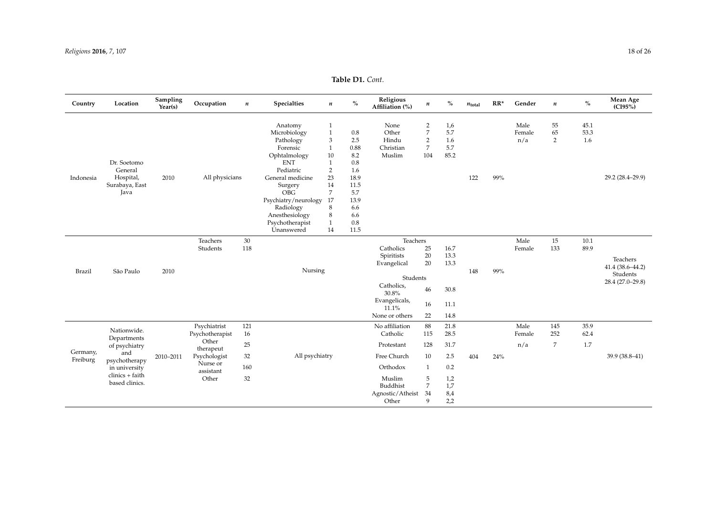**Table D1.** *Cont.*

| Country              | Location                                                                                                                  | Sampling<br>Year(s) | Occupation                                                                                              | $\boldsymbol{n}$                   | <b>Specialties</b>                                                                                                                                                                                                               | n                                                                                                                                                                         | $\%$                                                                                                | Religious<br>Affiliation (%)                                                                                                      | n                                                                           | $\%$                                                           | $n_{\text{total}}$ | $RR*$ | Gender                | $\boldsymbol{n}$           | $\%$                | Mean Age<br>(CI95%)                                          |
|----------------------|---------------------------------------------------------------------------------------------------------------------------|---------------------|---------------------------------------------------------------------------------------------------------|------------------------------------|----------------------------------------------------------------------------------------------------------------------------------------------------------------------------------------------------------------------------------|---------------------------------------------------------------------------------------------------------------------------------------------------------------------------|-----------------------------------------------------------------------------------------------------|-----------------------------------------------------------------------------------------------------------------------------------|-----------------------------------------------------------------------------|----------------------------------------------------------------|--------------------|-------|-----------------------|----------------------------|---------------------|--------------------------------------------------------------|
| Indonesia            | Dr. Soetomo<br>General<br>Hospital,<br>Surabaya, East<br>Java                                                             | 2010                | All physicians                                                                                          |                                    | Anatomy<br>Microbiology<br>Pathology<br>Forensic<br>Ophtalmology<br><b>ENT</b><br>Pediatric<br>General medicine<br>Surgery<br><b>OBG</b><br>Psychiatry/neurology<br>Radiology<br>Anesthesiology<br>Psychotherapist<br>Unanswered | -1<br>$\mathbf{1}$<br>3<br>$\mathbf{1}$<br>10<br>$\overline{1}$<br>$\overline{2}$<br>23<br>14<br>$\overline{7}$<br>17<br>$\,$ 8 $\,$<br>$\,$ 8 $\,$<br>$\mathbf{1}$<br>14 | 0.8<br>2.5<br>0.88<br>8.2<br>0.8<br>1.6<br>18.9<br>11.5<br>5.7<br>13.9<br>6.6<br>6.6<br>0.8<br>11.5 | None<br>Other<br>Hindu<br>Christian<br>Muslim                                                                                     | $\overline{2}$<br>$\overline{7}$<br>$\overline{2}$<br>$\overline{7}$<br>104 | 1,6<br>5.7<br>1.6<br>5.7<br>85.2                               | 122                | 99%   | Male<br>Female<br>n/a | 55<br>65<br>$\overline{2}$ | 45.1<br>53.3<br>1.6 | 29.2 (28.4-29.9)                                             |
| Brazil               | São Paulo                                                                                                                 | 2010                | Teachers<br>Students                                                                                    | 30<br>118                          | Nursing                                                                                                                                                                                                                          |                                                                                                                                                                           |                                                                                                     | Teachers<br>Catholics<br>Spiritists<br>Evangelical<br>Students<br>Catholics,<br>30.8%<br>Evangelicals,<br>11.1%<br>None or others | 25<br>20<br>20<br>46<br>16<br>22                                            | 16.7<br>13.3<br>13.3<br>30.8<br>11.1<br>14.8                   | 148                | 99%   | Male<br>Female        | 15<br>133                  | 10.1<br>89.9        | Teachers<br>41.4 (38.6-44.2)<br>Students<br>28.4 (27.0-29.8) |
| Germany,<br>Freiburg | Nationwide.<br>Departments<br>of psychiatry<br>and<br>psychotherapy<br>in university<br>clinics + faith<br>based clinics. | 2010-2011           | Psychiatrist<br>Psychotherapist<br>Other<br>therapeut<br>Psychologist<br>Nurse or<br>assistant<br>Other | 121<br>16<br>25<br>32<br>160<br>32 | All psychiatry                                                                                                                                                                                                                   |                                                                                                                                                                           |                                                                                                     | No affiliation<br>Catholic<br>Protestant<br>Free Church<br>Orthodox<br>Muslim<br>Buddhist<br>Agnostic/Atheist<br>Other            | 88<br>115<br>128<br>10<br>1<br>5<br>7<br>34<br>9                            | 21.8<br>28.5<br>31.7<br>2.5<br>0.2<br>1,2<br>1,7<br>8,4<br>2,2 | 404                | 24%   | Male<br>Female<br>n/a | 145<br>252<br>7            | 35.9<br>62.4<br>1.7 | 39.9 (38.8-41)                                               |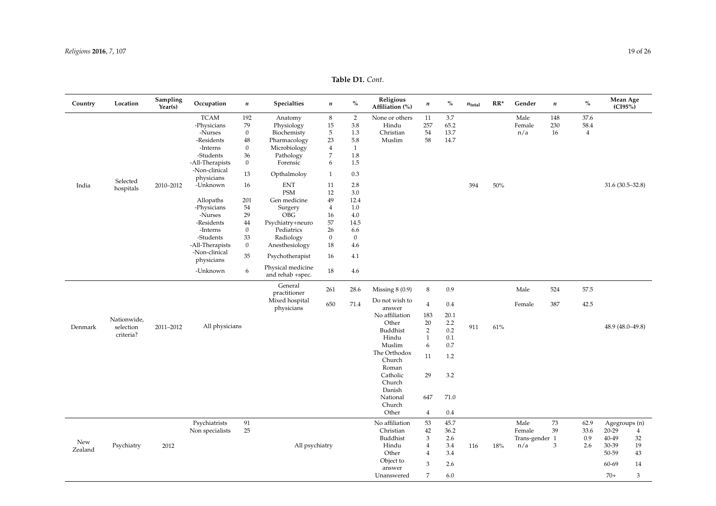**Table D1.** *Cont.*

| Country | Location    | Sampling<br>Year(s) | Occupation                  | $\boldsymbol{n}$ | <b>Specialties</b>                    | $\boldsymbol{n}$ | $\%$         | Religious<br>Affiliation (%) | n              | $\%$    | $n_{\text{total}}$ | $RR*$ | Gender         | $\boldsymbol{n}$ | $\%$           | Mean Age<br>(CI95%) |                |
|---------|-------------|---------------------|-----------------------------|------------------|---------------------------------------|------------------|--------------|------------------------------|----------------|---------|--------------------|-------|----------------|------------------|----------------|---------------------|----------------|
|         |             |                     | <b>TCAM</b>                 | 192              | Anatomy                               | 8                | $\sqrt{2}$   | None or others               | 11             | $3.7\,$ |                    |       | Male           | 148              | 37.6           |                     |                |
|         |             |                     | -Physicians                 | 79               | Physiology                            | 15               | 3.8          | Hindu                        | 257            | 65.2    |                    |       | Female         | 230              | 58.4           |                     |                |
|         |             |                     | -Nurses                     | $\mathbf{0}$     | Biochemisty                           | $\overline{5}$   | 1.3          | Christian                    | 54             | 13.7    |                    |       | n/a            | 16               | $\overline{4}$ |                     |                |
|         |             |                     | -Residents                  | 48               | Pharmacology                          | 23               | 5.8          | Muslim                       | 58             | 14.7    |                    |       |                |                  |                |                     |                |
|         |             |                     | -Interns                    | $\boldsymbol{0}$ | Microbiology                          | $\,4$            | $\mathbf{1}$ |                              |                |         |                    |       |                |                  |                |                     |                |
|         |             |                     | -Students                   | 36               | Pathology                             | 7                | 1.8          |                              |                |         |                    |       |                |                  |                |                     |                |
|         |             |                     | -All-Therapists             | $\boldsymbol{0}$ | Forensic                              | 6                | 1.5          |                              |                |         |                    |       |                |                  |                |                     |                |
|         | Selected    |                     | -Non-clinical<br>physicians | 13               | Opthalmoloy                           | $\mathbf{1}$     | 0.3          |                              |                |         |                    |       |                |                  |                |                     |                |
| India   | hospitals   | 2010-2012           | -Unknown                    | 16               | <b>ENT</b>                            | 11               | 2.8          |                              |                |         | 394                | 50%   |                |                  |                | $31.6(30.5 - 32.8)$ |                |
|         |             |                     |                             |                  | <b>PSM</b>                            | 12               | 3.0          |                              |                |         |                    |       |                |                  |                |                     |                |
|         |             |                     | Allopaths                   | 201              | Gen medicine                          | 49               | 12.4         |                              |                |         |                    |       |                |                  |                |                     |                |
|         |             |                     | -Physicians                 | 54               | Surgery                               | $\overline{4}$   | 1.0          |                              |                |         |                    |       |                |                  |                |                     |                |
|         |             |                     | -Nurses                     | 29               | <b>OBG</b>                            | $16\,$           | 4.0          |                              |                |         |                    |       |                |                  |                |                     |                |
|         |             |                     | -Residents                  | 44               | Psychiatry+neuro                      | 57               | 14.5         |                              |                |         |                    |       |                |                  |                |                     |                |
|         |             |                     | -Interns                    | $\mathbf{0}$     | Pediatrics                            | 26               | 6.6          |                              |                |         |                    |       |                |                  |                |                     |                |
|         |             |                     | -Students                   | 33               | Radiology                             | $\boldsymbol{0}$ | $\mathbf{0}$ |                              |                |         |                    |       |                |                  |                |                     |                |
|         |             |                     | -All-Therapists             | $\mathbf{0}$     | Anesthesiology                        | 18               | 4.6          |                              |                |         |                    |       |                |                  |                |                     |                |
|         |             |                     | -Non-clinical<br>physicians | 35               | Psychotherapist                       | 16               | 4.1          |                              |                |         |                    |       |                |                  |                |                     |                |
|         |             |                     | -Unknown                    | 6                | Physical medicine<br>and rehab +spec. | 18               | 4.6          |                              |                |         |                    |       |                |                  |                |                     |                |
|         | Nationwide, |                     |                             |                  | General<br>practitioner               | 261              | 28.6         | Missing $8(0.9)$             | 8              | 0.9     |                    |       | Male           | 524              | 57.5           |                     |                |
|         |             |                     |                             |                  | Mixed hospital<br>physicians          | 650              | 71.4         | Do not wish to<br>answer     | $\bf 4$        | 0.4     |                    |       | Female         | 387              | 42.5           |                     |                |
|         |             |                     |                             |                  |                                       |                  |              | No affiliation               | 183            | 20.1    |                    |       |                |                  |                |                     |                |
|         |             |                     |                             |                  |                                       |                  |              | Other                        | 20             | 2.2     |                    |       |                |                  |                |                     |                |
| Denmark | selection   | 2011-2012           | All physicians              |                  |                                       |                  |              | Buddhist                     | 2              | 0.2     | 911                | 61%   |                |                  |                | 48.9 (48.0-49.8)    |                |
|         | criteria?   |                     |                             |                  |                                       |                  |              | Hindu                        | 1              | 0.1     |                    |       |                |                  |                |                     |                |
|         |             |                     |                             |                  |                                       |                  |              | Muslim                       | 6              | 0.7     |                    |       |                |                  |                |                     |                |
|         |             |                     |                             |                  |                                       |                  |              | The Orthodox<br>Church       | 11             | 1.2     |                    |       |                |                  |                |                     |                |
|         |             |                     |                             |                  |                                       |                  |              | Roman                        |                |         |                    |       |                |                  |                |                     |                |
|         |             |                     |                             |                  |                                       |                  |              | Catholic                     | 29             | 3.2     |                    |       |                |                  |                |                     |                |
|         |             |                     |                             |                  |                                       |                  |              | Church                       |                |         |                    |       |                |                  |                |                     |                |
|         |             |                     |                             |                  |                                       |                  |              | Danish                       |                |         |                    |       |                |                  |                |                     |                |
|         |             |                     |                             |                  |                                       |                  |              | National                     | 647            | 71.0    |                    |       |                |                  |                |                     |                |
|         |             |                     |                             |                  |                                       |                  |              | Church                       |                |         |                    |       |                |                  |                |                     |                |
|         |             |                     |                             |                  |                                       |                  |              | Other                        | $\overline{4}$ | 0.4     |                    |       |                |                  |                |                     |                |
|         |             |                     | Psychiatrists               | 91               |                                       |                  |              | No affiliation               | 53             | 45.7    |                    |       | Male           | 73               | 62.9           | Agegroups (n)       |                |
|         |             |                     | Non specialists             | 25               |                                       |                  |              | Christian                    | $42\,$         | 36.2    |                    |       | Female         | 39               | 33.6           | $20 - 29$           | $\overline{4}$ |
|         |             |                     |                             |                  |                                       |                  |              | Buddhist                     | 3              | 2.6     |                    |       | Trans-gender 1 |                  | 0.9            | 40-49               | 32             |
| New     | Psychiatry  | 2012                |                             |                  | All psychiatry                        |                  |              | Hindu                        | $\overline{4}$ | 3.4     | 116                | 18%   | n/a            | 3                | 2.6            | 30-39               | 19             |
| Zealand |             |                     |                             |                  |                                       |                  |              | Other                        | $\overline{4}$ | 3.4     |                    |       |                |                  |                | 50-59               | 43             |
|         |             |                     |                             |                  |                                       |                  |              | Object to<br>answer          | 3              | 2.6     |                    |       |                |                  |                | 60-69               | 14             |
|         |             |                     |                             |                  |                                       |                  |              | Unanswered                   | $\overline{7}$ | 6.0     |                    |       |                |                  |                | $70+$               | 3              |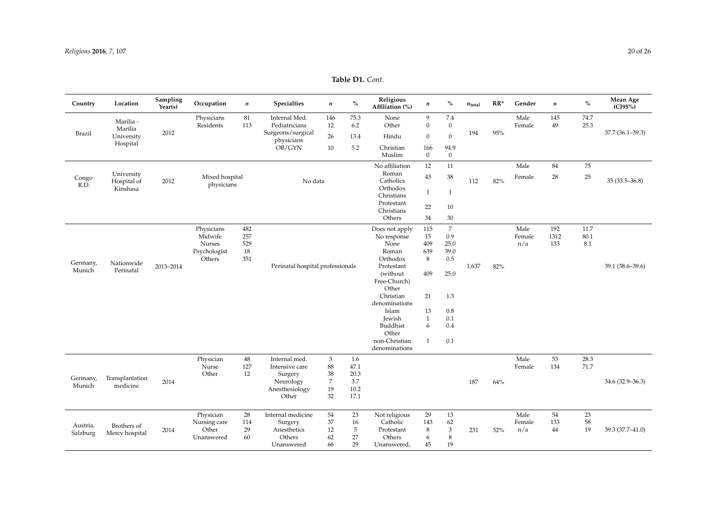**Table D1.** *Cont.*

| Country       | Location                    | Sampling<br>Year(s) | Occupation                   | $\boldsymbol{n}$ | <b>Specialties</b>                                  | n           | $\%$        | Religious<br>Affiliation (%) | n                   | $\%$                     | $n_{\text{total}}$ | $RR*$       | Gender         | n         | $\%$           | Mean Age<br>(CI95%) |
|---------------|-----------------------------|---------------------|------------------------------|------------------|-----------------------------------------------------|-------------|-------------|------------------------------|---------------------|--------------------------|--------------------|-------------|----------------|-----------|----------------|---------------------|
|               | Marilia -<br>Marília        | 2012                | Physicians<br>Residents      | 81<br>113        | Internal Med.<br>Pediatricians<br>Surgeons/surgical | 146<br>12   | 75.3<br>6.2 | None<br>Other                | 9<br>$\mathbf{0}$   | 7.4<br>$\boldsymbol{0}$  | 194                | 95%         | Male<br>Female | 145<br>49 | 74.7<br>25.3   | 37.7 (36.1-39.3)    |
| Brazil        | University<br>Hospital      |                     |                              |                  | physicians                                          | 26          | 13.4        | Hindu                        | $\mathbf{0}$        | $\mathbf{0}$             |                    |             |                |           |                |                     |
|               |                             |                     |                              |                  | OB/GYN                                              | 10          | 5.2         | Christian<br>Muslim          | 166<br>$\mathbf{0}$ | 94.9<br>$\boldsymbol{0}$ |                    |             |                |           |                |                     |
|               |                             |                     |                              |                  |                                                     |             |             | No affiliation<br>Roman      | 12                  | 11                       |                    |             | Male           | 84        | 75             |                     |
| Congo<br>R.D. | University<br>Hospital of   | 2012                | Mixed hospital<br>physicians |                  | No data                                             |             |             | Catholics                    | $43\,$              | 38                       | 112                | 82%         | Female         | 28        | 25             | $35(33.5 - 36.8)$   |
|               | Kinshasa                    |                     |                              |                  |                                                     |             |             | Orthodox<br>Christians       | 1                   | $\mathbf{1}$             |                    |             |                |           |                |                     |
|               |                             |                     |                              |                  | Protestant<br>Christians                            | 22          | 10          |                              |                     |                          |                    |             |                |           |                |                     |
|               |                             |                     |                              |                  |                                                     |             |             | Others                       | 34                  | 30                       |                    |             |                |           |                |                     |
|               |                             |                     | Physicians                   | 482              |                                                     |             |             | Does not apply               | 115                 | $\overline{7}$           |                    |             | Male           | 192       | 11.7           |                     |
|               |                             |                     | Midwife                      | 257              |                                                     | No response | 15          | 0.9                          | 1,637               | 82%                      | Female             | 1312        | 80.1           |           |                |                     |
|               |                             |                     | <b>Nurses</b>                | 529<br>18<br>351 | Perinatal hospital professionals                    |             |             | None                         |                     |                          | 409                | 25.0        | n/a            | 133       | 8.1            |                     |
|               |                             |                     | Psychologist<br>Others       |                  |                                                     |             |             | Roman<br>Orthodox            |                     |                          | 639<br>8           | 39.0<br>0.5 |                |           |                |                     |
| Germany,      | Nationwide<br>Perinatal     | 2013-2014           |                              |                  |                                                     |             |             | Protestant                   |                     |                          |                    |             |                |           |                | 39.1 (38.6-39.6)    |
| Munich        |                             |                     |                              |                  |                                                     |             |             | (without                     |                     |                          | 409                | 25.0        |                |           |                |                     |
|               |                             |                     |                              |                  |                                                     |             |             | Free-Church)                 |                     |                          |                    |             |                |           |                |                     |
|               |                             |                     |                              |                  |                                                     |             |             | Other                        |                     |                          |                    |             |                |           |                |                     |
|               |                             |                     |                              |                  |                                                     |             |             | Christian                    | 21                  | 1.3                      |                    |             |                |           |                |                     |
|               |                             |                     |                              |                  |                                                     |             |             | denominations<br>Islam       | 13                  | 0.8                      |                    |             |                |           |                |                     |
|               |                             |                     |                              |                  |                                                     |             |             | <b>Jewish</b>                | $\mathbf{1}$        | 0.1                      |                    |             |                |           |                |                     |
|               |                             |                     |                              |                  |                                                     |             |             | Buddhist                     | 6                   | 0.4                      |                    |             |                |           |                |                     |
|               |                             |                     |                              |                  |                                                     |             |             | Other                        |                     |                          |                    |             |                |           |                |                     |
|               |                             |                     |                              |                  |                                                     |             |             | non-Christian                | $\mathbf{1}$        | 0.1                      |                    |             |                |           |                |                     |
|               |                             |                     |                              |                  |                                                     |             |             | denominations                |                     |                          |                    |             |                |           |                |                     |
|               |                             |                     | Physician<br>Nurse           | 48<br>127        | Internal med.<br>Intensive care                     | 3<br>88     | 1.6<br>47.1 |                              |                     |                          |                    |             | Male<br>Female | 53<br>134 | 28.3<br>71.7   |                     |
|               |                             |                     | Other                        | 12               | Surgery                                             | 38          | 20.3        |                              |                     |                          |                    |             |                |           |                |                     |
| Germany,      | Transplantation<br>medicine | 2014                |                              |                  | Neurology                                           | 7           | 3.7         |                              |                     |                          | 187                | 64%         |                |           |                | 34.6 (32.9-36.3)    |
| Munich        |                             |                     |                              |                  | Anesthesiology                                      | 19          | 10.2        |                              |                     |                          |                    |             |                |           |                |                     |
|               |                             |                     |                              |                  | Other                                               | 32          | 17.1        |                              |                     |                          |                    |             |                |           |                |                     |
|               |                             |                     | Physician                    | 28               | Internal medicine                                   | 54          | 23          | Not religious                | 29                  | 13                       |                    |             | Male           | 54        | 23             |                     |
| Austria,      | Brothers of                 |                     | Nursing care                 | 114              | Surgery                                             | 37          | 16          | Catholic                     | 143                 | 62                       |                    |             | Female         | 133       | 58<br>19<br>44 |                     |
| Salzburg      | Mercy hospital              | 2014                | Other                        | 29               | Anesthetics                                         | 12          | 5           | Protestant                   | 8                   | $\mathfrak{Z}$           | 231                | 52%         | n/a            |           |                | 39.3 (37.7-41.0)    |
|               |                             |                     | Unanswered                   | 60               | Others                                              | 62          | 27          | Others                       | 6                   | $\,$ 8 $\,$              |                    |             |                |           |                |                     |
|               |                             |                     |                              |                  | Unanswered                                          | 66          | 29          | Unanswered.                  | 45                  | 19                       |                    |             |                |           |                |                     |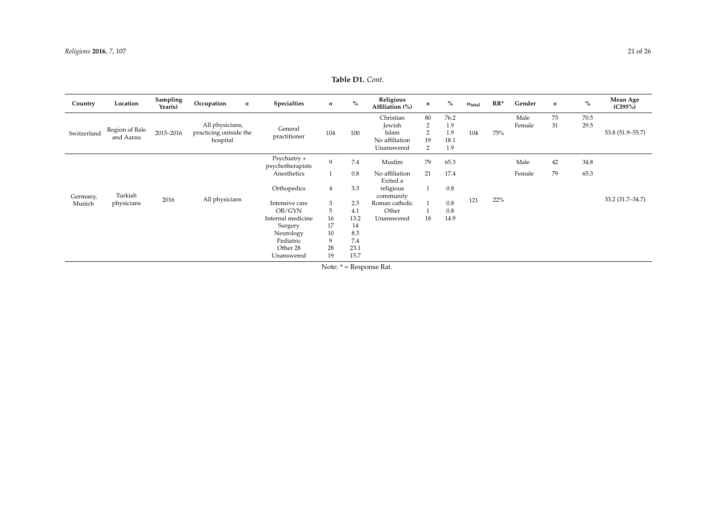| Table D1. Cont. |
|-----------------|
|                 |

| Country     | Location                    | Sampling<br>Year(s) | Occupation<br>$\boldsymbol{n}$ | <b>Specialties</b>               | $\boldsymbol{n}$ | $\%$ | Religious<br>Affiliation (%) | $\boldsymbol{n}$ | $\%$ | $n_{\text{total}}$ | $RR^*$ | Gender | $\boldsymbol{n}$ | $\%$ | Mean Age<br>(CI95%) |
|-------------|-----------------------------|---------------------|--------------------------------|----------------------------------|------------------|------|------------------------------|------------------|------|--------------------|--------|--------|------------------|------|---------------------|
|             |                             |                     |                                | General                          |                  | 100  | Christian                    | 80               | 76.2 |                    |        | Male   | 73               | 70.5 |                     |
|             |                             | 2015-2016           | All physicians,                |                                  |                  |      | Jewish                       | $\overline{2}$   | 1.9  | 104                | 75%    | Female | 31               | 29.5 |                     |
| Switzerland | Region of Bale<br>and Aarau |                     | practicing outside the         | practitioner                     | 104              |      | Islam                        | 2                | 1.9  |                    |        |        |                  |      | 53.8 (51.9–55.7)    |
|             |                             |                     | hospital                       |                                  |                  |      | No affiliation               | 19               | 18.1 |                    |        |        |                  |      |                     |
|             |                             |                     |                                |                                  |                  |      | Unanswered                   | 2                | 1.9  |                    |        |        |                  |      |                     |
| Germany,    |                             |                     |                                | Psychiatry +<br>psychotherapists | 9                | 7.4  | Muslim                       | 79               | 65.3 |                    |        | Male   | 42               | 34.8 |                     |
|             |                             |                     |                                | Anesthetics                      |                  | 0.8  | No affiliation<br>Exited a   | 21               | 17.4 |                    |        | Female | 79<br>65.3       |      |                     |
|             | Turkish<br>physicians       | 2016                |                                | Orthopedics                      | $\overline{4}$   | 3.3  | religious<br>community       |                  | 0.8  |                    | 22%    |        |                  |      |                     |
| Munich      |                             |                     | All physicians                 | Intensive care                   | 3                | 2.5  | Roman catholic               |                  | 0.8  | 121                |        |        |                  |      | 33.2 (31.7-34.7)    |
|             |                             |                     |                                | OB/GYN                           | 5                | 4.1  | Other                        |                  | 0.8  |                    |        |        |                  |      |                     |
|             |                             |                     |                                | Internal medicine                | 16               | 13.2 | Unanswered                   | 18               | 14.9 |                    |        |        |                  |      |                     |
|             |                             |                     |                                | Surgery                          | 17               | 14   |                              |                  |      |                    |        |        |                  |      |                     |
|             |                             |                     |                                | Neurology                        | 10               | 8.3  |                              |                  |      |                    |        |        |                  |      |                     |
|             |                             |                     |                                | Pediatric                        | 9                | 7.4  |                              |                  |      |                    |        |        |                  |      |                     |
|             |                             |                     |                                | Other 28                         | 28               | 23.1 |                              |                  |      |                    |        |        |                  |      |                     |
|             |                             |                     |                                | Unanswered                       | 19               | 15.7 |                              |                  |      |                    |        |        |                  |      |                     |

Note: \* = Response Rat.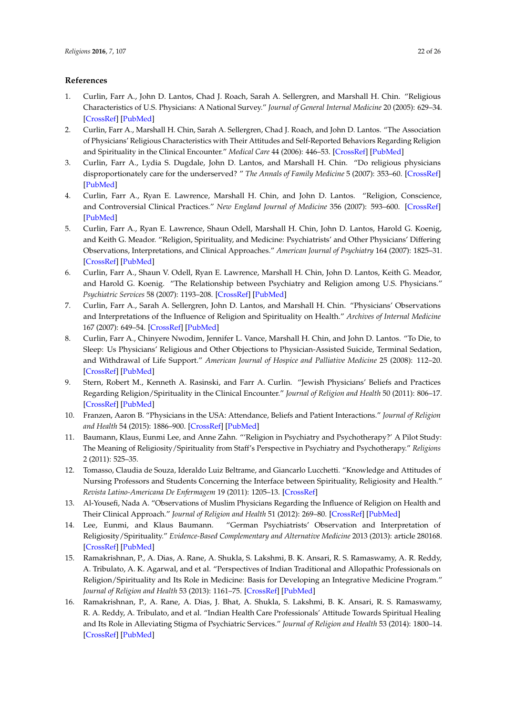### **References**

- <span id="page-22-0"></span>1. Curlin, Farr A., John D. Lantos, Chad J. Roach, Sarah A. Sellergren, and Marshall H. Chin. "Religious Characteristics of U.S. Physicians: A National Survey." *Journal of General Internal Medicine* 20 (2005): 629–34. [\[CrossRef\]](http://dx.doi.org/10.1111/j.1525-1497.2005.0119.x) [\[PubMed\]](http://www.ncbi.nlm.nih.gov/pubmed/16050858)
- <span id="page-22-3"></span>2. Curlin, Farr A., Marshall H. Chin, Sarah A. Sellergren, Chad J. Roach, and John D. Lantos. "The Association of Physicians' Religious Characteristics with Their Attitudes and Self-Reported Behaviors Regarding Religion and Spirituality in the Clinical Encounter." *Medical Care* 44 (2006): 446–53. [\[CrossRef\]](http://dx.doi.org/10.1097/01.mlr.0000207434.12450.ef) [\[PubMed\]](http://www.ncbi.nlm.nih.gov/pubmed/16641663)
- <span id="page-22-6"></span>3. Curlin, Farr A., Lydia S. Dugdale, John D. Lantos, and Marshall H. Chin. "Do religious physicians disproportionately care for the underserved? " *The Annals of Family Medicine* 5 (2007): 353–60. [\[CrossRef\]](http://dx.doi.org/10.1370/afm.677) [\[PubMed\]](http://www.ncbi.nlm.nih.gov/pubmed/17664502)
- <span id="page-22-7"></span>4. Curlin, Farr A., Ryan E. Lawrence, Marshall H. Chin, and John D. Lantos. "Religion, Conscience, and Controversial Clinical Practices." *New England Journal of Medicine* 356 (2007): 593–600. [\[CrossRef\]](http://dx.doi.org/10.1056/NEJMsa065316) [\[PubMed\]](http://www.ncbi.nlm.nih.gov/pubmed/17287479)
- <span id="page-22-8"></span>5. Curlin, Farr A., Ryan E. Lawrence, Shaun Odell, Marshall H. Chin, John D. Lantos, Harold G. Koenig, and Keith G. Meador. "Religion, Spirituality, and Medicine: Psychiatrists' and Other Physicians' Differing Observations, Interpretations, and Clinical Approaches." *American Journal of Psychiatry* 164 (2007): 1825–31. [\[CrossRef\]](http://dx.doi.org/10.1176/appi.ajp.2007.06122088) [\[PubMed\]](http://www.ncbi.nlm.nih.gov/pubmed/18056237)
- <span id="page-22-9"></span>6. Curlin, Farr A., Shaun V. Odell, Ryan E. Lawrence, Marshall H. Chin, John D. Lantos, Keith G. Meador, and Harold G. Koenig. "The Relationship between Psychiatry and Religion among U.S. Physicians." *Psychiatric Services* 58 (2007): 1193–208. [\[CrossRef\]](http://dx.doi.org/10.1176/ps.2007.58.9.1193) [\[PubMed\]](http://www.ncbi.nlm.nih.gov/pubmed/17766565)
- <span id="page-22-10"></span>7. Curlin, Farr A., Sarah A. Sellergren, John D. Lantos, and Marshall H. Chin. "Physicians' Observations and Interpretations of the Influence of Religion and Spirituality on Health." *Archives of Internal Medicine* 167 (2007): 649–54. [\[CrossRef\]](http://dx.doi.org/10.1001/archinte.167.7.649) [\[PubMed\]](http://www.ncbi.nlm.nih.gov/pubmed/17420422)
- <span id="page-22-11"></span>8. Curlin, Farr A., Chinyere Nwodim, Jennifer L. Vance, Marshall H. Chin, and John D. Lantos. "To Die, to Sleep: Us Physicians' Religious and Other Objections to Physician-Assisted Suicide, Terminal Sedation, and Withdrawal of Life Support." *American Journal of Hospice and Palliative Medicine* 25 (2008): 112–20. [\[CrossRef\]](http://dx.doi.org/10.1177/1049909107310141) [\[PubMed\]](http://www.ncbi.nlm.nih.gov/pubmed/18198363)
- <span id="page-22-12"></span>9. Stern, Robert M., Kenneth A. Rasinski, and Farr A. Curlin. "Jewish Physicians' Beliefs and Practices Regarding Religion/Spirituality in the Clinical Encounter." *Journal of Religion and Health* 50 (2011): 806–17. [\[CrossRef\]](http://dx.doi.org/10.1007/s10943-011-9509-1) [\[PubMed\]](http://www.ncbi.nlm.nih.gov/pubmed/21706257)
- <span id="page-22-1"></span>10. Franzen, Aaron B. "Physicians in the USA: Attendance, Beliefs and Patient Interactions." *Journal of Religion and Health* 54 (2015): 1886–900. [\[CrossRef\]](http://dx.doi.org/10.1007/s10943-014-9986-0) [\[PubMed\]](http://www.ncbi.nlm.nih.gov/pubmed/25516296)
- <span id="page-22-2"></span>11. Baumann, Klaus, Eunmi Lee, and Anne Zahn. "'Religion in Psychiatry and Psychotherapy?' A Pilot Study: The Meaning of Religiosity/Spirituality from Staff's Perspective in Psychiatry and Psychotherapy." *Religions* 2 (2011): 525–35.
- <span id="page-22-4"></span>12. Tomasso, Claudia de Souza, Ideraldo Luiz Beltrame, and Giancarlo Lucchetti. "Knowledge and Attitudes of Nursing Professors and Students Concerning the Interface between Spirituality, Religiosity and Health." *Revista Latino-Americana De Enfermagem* 19 (2011): 1205–13. [\[CrossRef\]](http://dx.doi.org/10.1590/S0104-11692011000500019)
- <span id="page-22-5"></span>13. Al-Yousefi, Nada A. "Observations of Muslim Physicians Regarding the Influence of Religion on Health and Their Clinical Approach." *Journal of Religion and Health* 51 (2012): 269–80. [\[CrossRef\]](http://dx.doi.org/10.1007/s10943-012-9567-z) [\[PubMed\]](http://www.ncbi.nlm.nih.gov/pubmed/22395747)
- <span id="page-22-13"></span>14. Lee, Eunmi, and Klaus Baumann. "German Psychiatrists' Observation and Interpretation of Religiosity/Spirituality." *Evidence-Based Complementary and Alternative Medicine* 2013 (2013): article 280168. [\[CrossRef\]](http://dx.doi.org/10.1155/2013/280168) [\[PubMed\]](http://www.ncbi.nlm.nih.gov/pubmed/24348695)
- <span id="page-22-14"></span>15. Ramakrishnan, P., A. Dias, A. Rane, A. Shukla, S. Lakshmi, B. K. Ansari, R. S. Ramaswamy, A. R. Reddy, A. Tribulato, A. K. Agarwal, and et al. "Perspectives of Indian Traditional and Allopathic Professionals on Religion/Spirituality and Its Role in Medicine: Basis for Developing an Integrative Medicine Program." *Journal of Religion and Health* 53 (2013): 1161–75. [\[CrossRef\]](http://dx.doi.org/10.1007/s10943-013-9721-2) [\[PubMed\]](http://www.ncbi.nlm.nih.gov/pubmed/23625126)
- <span id="page-22-15"></span>16. Ramakrishnan, P., A. Rane, A. Dias, J. Bhat, A. Shukla, S. Lakshmi, B. K. Ansari, R. S. Ramaswamy, R. A. Reddy, A. Tribulato, and et al. "Indian Health Care Professionals' Attitude Towards Spiritual Healing and Its Role in Alleviating Stigma of Psychiatric Services." *Journal of Religion and Health* 53 (2014): 1800–14. [\[CrossRef\]](http://dx.doi.org/10.1007/s10943-014-9822-6) [\[PubMed\]](http://www.ncbi.nlm.nih.gov/pubmed/24430129)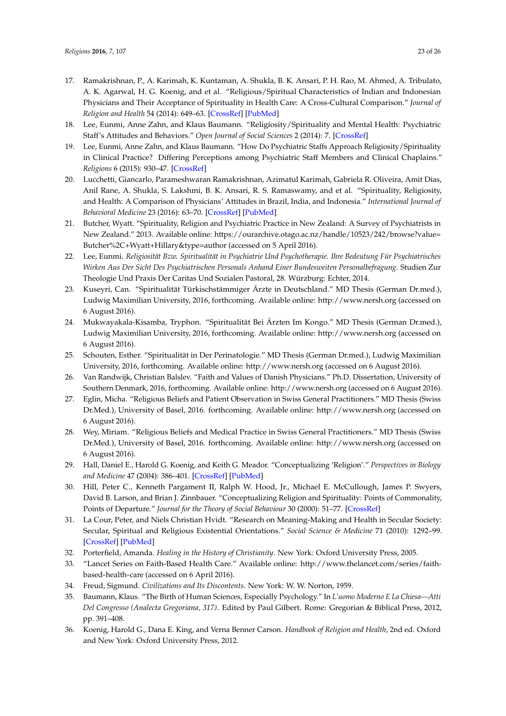- <span id="page-23-12"></span>17. Ramakrishnan, P., A. Karimah, K. Kuntaman, A. Shukla, B. K. Ansari, P. H. Rao, M. Ahmed, A. Tribulato, A. K. Agarwal, H. G. Koenig, and et al. "Religious/Spiritual Characteristics of Indian and Indonesian Physicians and Their Acceptance of Spirituality in Health Care: A Cross-Cultural Comparison." *Journal of Religion and Health* 54 (2014): 649–63. [\[CrossRef\]](http://dx.doi.org/10.1007/s10943-014-9906-3) [\[PubMed\]](http://www.ncbi.nlm.nih.gov/pubmed/24944165)
- <span id="page-23-13"></span>18. Lee, Eunmi, Anne Zahn, and Klaus Baumann. "Religiosity/Spirituality and Mental Health: Psychiatric Staff's Attitudes and Behaviors." *Open Journal of Social Sciences* 2 (2014): 7. [\[CrossRef\]](http://dx.doi.org/10.4236/jss.2014.211002)
- <span id="page-23-14"></span>19. Lee, Eunmi, Anne Zahn, and Klaus Baumann. "How Do Psychiatric Staffs Approach Religiosity/Spirituality in Clinical Practice? Differing Perceptions among Psychiatric Staff Members and Clinical Chaplains." *Religions* 6 (2015): 930–47. [\[CrossRef\]](http://dx.doi.org/10.3390/rel6030930)
- <span id="page-23-8"></span>20. Lucchetti, Giancarlo, Parameshwaran Ramakrishnan, Azimatul Karimah, Gabriela R. Oliveira, Amit Dias, Anil Rane, A. Shukla, S. Lakshmi, B. K. Ansari, R. S. Ramaswamy, and et al. "Spirituality, Religiosity, and Health: A Comparison of Physicians' Attitudes in Brazil, India, and Indonesia." *International Journal of Behavioral Medicine* 23 (2016): 63–70. [\[CrossRef\]](http://dx.doi.org/10.1007/s12529-015-9491-1) [\[PubMed\]](http://www.ncbi.nlm.nih.gov/pubmed/26025629)
- <span id="page-23-9"></span>21. Butcher, Wyatt. "Spirituality, Religion and Psychiatric Practice in New Zealand: A Survey of Psychiatrists in New Zealand." 2013. Available online: [https://ourarchive.otago.ac.nz/handle/10523/242/browse?value=](https://ourarchive.otago.ac.nz/handle/10523/242/browse?value=Butcher%2C+Wyatt+Hillary&type=author) [Butcher%2C+Wyatt+Hillary&type=author](https://ourarchive.otago.ac.nz/handle/10523/242/browse?value=Butcher%2C+Wyatt+Hillary&type=author) (accessed on 5 April 2016).
- <span id="page-23-10"></span>22. Lee, Eunmi. *Religiosität Bzw. Spiritualität in Psychiatrie Und Psychotherapie. Ihre Bedeutung Für Psychiatrisches Wirken Aus Der Sicht Des Psychiatrischen Personals Anhand Einer Bundesweiten Personalbefragung*. Studien Zur Theologie Und Praxis Der Caritas Und Sozialen Pastoral, 28. Würzburg: Echter, 2014.
- <span id="page-23-15"></span>23. Kuseyri, Can. "Spiritualität Türkischstämmiger Ärzte in Deutschland." MD Thesis (German Dr.med.), Ludwig Maximilian University, 2016, forthcoming. Available online: <http://www.nersh.org> (accessed on 6 August 2016).
- <span id="page-23-16"></span>24. Mukwayakala-Kisamba, Tryphon. "Spiritualität Bei Ärzten Im Kongo." MD Thesis (German Dr.med.), Ludwig Maximilian University, 2016, forthcoming. Available online: <http://www.nersh.org> (accessed on 6 August 2016).
- <span id="page-23-17"></span>25. Schouten, Esther. "Spiritualität in Der Perinatologie." MD Thesis (German Dr.med.), Ludwig Maximilian University, 2016, forthcoming. Available online: <http://www.nersh.org> (accessed on 6 August 2016).
- <span id="page-23-11"></span>26. Van Randwijk, Christian Balslev. "Faith and Values of Danish Physicians." Ph.D. Dissertation, University of Southern Denmark, 2016, forthcoming. Available online: <http://www.nersh.org> (accessed on 6 August 2016).
- 27. Eglin, Micha. "Religious Beliefs and Patient Observation in Swiss General Practitioners." MD Thesis (Swiss Dr.Med.), University of Basel, 2016. forthcoming. Available online: <http://www.nersh.org> (accessed on 6 August 2016).
- <span id="page-23-0"></span>28. Wey, Miriam. "Religious Beliefs and Medical Practice in Swiss General Practitioners." MD Thesis (Swiss Dr.Med.), University of Basel, 2016. forthcoming. Available online: <http://www.nersh.org> (accessed on 6 August 2016).
- <span id="page-23-1"></span>29. Hall, Daniel E., Harold G. Koenig, and Keith G. Meador. "Conceptualizing 'Religion'." *Perspectives in Biology and Medicine* 47 (2004): 386–401. [\[CrossRef\]](http://dx.doi.org/10.1353/pbm.2004.0050) [\[PubMed\]](http://www.ncbi.nlm.nih.gov/pubmed/15247504)
- 30. Hill, Peter C., Kenneth Pargament II, Ralph W. Hood, Jr., Michael E. McCullough, James P. Swyers, David B. Larson, and Brian J. Zinnbauer. "Conceptualizing Religion and Spirituality: Points of Commonality, Points of Departure." *Journal for the Theory of Social Behaviour* 30 (2000): 51–77. [\[CrossRef\]](http://dx.doi.org/10.1111/1468-5914.00119)
- <span id="page-23-2"></span>31. La Cour, Peter, and Niels Christian Hvidt. "Research on Meaning-Making and Health in Secular Society: Secular, Spiritual and Religious Existential Orientations." *Social Science & Medicine* 71 (2010): 1292–99. [\[CrossRef\]](http://dx.doi.org/10.1016/j.socscimed.2010.06.024) [\[PubMed\]](http://www.ncbi.nlm.nih.gov/pubmed/20691529)
- <span id="page-23-3"></span>32. Porterfield, Amanda. *Healing in the History of Christianity*. New York: Oxford University Press, 2005.
- <span id="page-23-4"></span>33. "Lancet Series on Faith-Based Health Care." Available online: [http://www.thelancet.com/series/faith](http://www.thelancet.com/series/faith-based-health-care)[based-health-care](http://www.thelancet.com/series/faith-based-health-care) (accessed on 6 April 2016).
- <span id="page-23-5"></span>34. Freud, Sigmund. *Civilizations and Its Discontents*. New York: W. W. Norton, 1959.
- <span id="page-23-6"></span>35. Baumann, Klaus. "The Birth of Human Sciences, Especially Psychology." In *L'uomo Moderno E La Chiesa—Atti Del Congresso (Analecta Gregoriana, 317)*. Edited by Paul Gilbert. Rome: Gregorian & Biblical Press, 2012, pp. 391–408.
- <span id="page-23-7"></span>36. Koenig, Harold G., Dana E. King, and Verna Benner Carson. *Handbook of Religion and Health*, 2nd ed. Oxford and New York: Oxford University Press, 2012.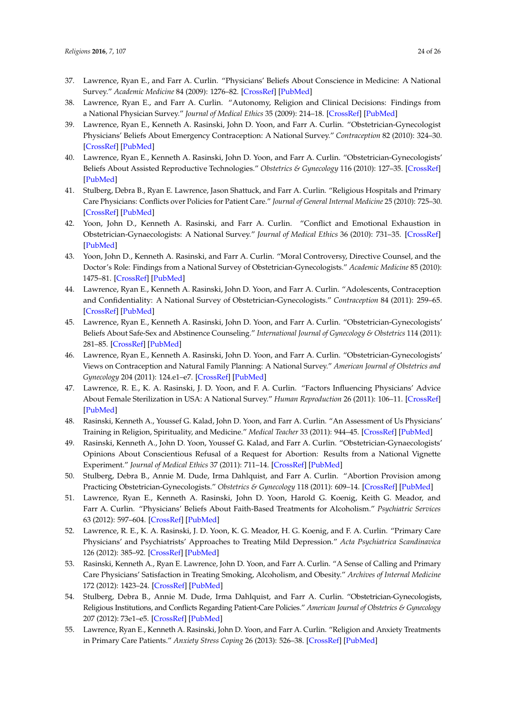- <span id="page-24-0"></span>37. Lawrence, Ryan E., and Farr A. Curlin. "Physicians' Beliefs About Conscience in Medicine: A National Survey." *Academic Medicine* 84 (2009): 1276–82. [\[CrossRef\]](http://dx.doi.org/10.1097/ACM.0b013e3181b18dc5) [\[PubMed\]](http://www.ncbi.nlm.nih.gov/pubmed/19707071)
- 38. Lawrence, Ryan E., and Farr A. Curlin. "Autonomy, Religion and Clinical Decisions: Findings from a National Physician Survey." *Journal of Medical Ethics* 35 (2009): 214–18. [\[CrossRef\]](http://dx.doi.org/10.1136/jme.2008.027565) [\[PubMed\]](http://www.ncbi.nlm.nih.gov/pubmed/19332575)
- 39. Lawrence, Ryan E., Kenneth A. Rasinski, John D. Yoon, and Farr A. Curlin. "Obstetrician-Gynecologist Physicians' Beliefs About Emergency Contraception: A National Survey." *Contraception* 82 (2010): 324–30. [\[CrossRef\]](http://dx.doi.org/10.1016/j.contraception.2010.04.151) [\[PubMed\]](http://www.ncbi.nlm.nih.gov/pubmed/20851225)
- 40. Lawrence, Ryan E., Kenneth A. Rasinski, John D. Yoon, and Farr A. Curlin. "Obstetrician-Gynecologists' Beliefs About Assisted Reproductive Technologies." *Obstetrics & Gynecology* 116 (2010): 127–35. [\[CrossRef\]](http://dx.doi.org/10.1097/AOG.0b013e3181e2f27d) [\[PubMed\]](http://www.ncbi.nlm.nih.gov/pubmed/20567178)
- 41. Stulberg, Debra B., Ryan E. Lawrence, Jason Shattuck, and Farr A. Curlin. "Religious Hospitals and Primary Care Physicians: Conflicts over Policies for Patient Care." *Journal of General Internal Medicine* 25 (2010): 725–30. [\[CrossRef\]](http://dx.doi.org/10.1007/s11606-010-1329-6) [\[PubMed\]](http://www.ncbi.nlm.nih.gov/pubmed/20373045)
- 42. Yoon, John D., Kenneth A. Rasinski, and Farr A. Curlin. "Conflict and Emotional Exhaustion in Obstetrician-Gynaecologists: A National Survey." *Journal of Medical Ethics* 36 (2010): 731–35. [\[CrossRef\]](http://dx.doi.org/10.1136/jme.2010.037762) [\[PubMed\]](http://www.ncbi.nlm.nih.gov/pubmed/21112936)
- 43. Yoon, John D., Kenneth A. Rasinski, and Farr A. Curlin. "Moral Controversy, Directive Counsel, and the Doctor's Role: Findings from a National Survey of Obstetrician-Gynecologists." *Academic Medicine* 85 (2010): 1475–81. [\[CrossRef\]](http://dx.doi.org/10.1097/ACM.0b013e3181eabacc) [\[PubMed\]](http://www.ncbi.nlm.nih.gov/pubmed/20736675)
- 44. Lawrence, Ryan E., Kenneth A. Rasinski, John D. Yoon, and Farr A. Curlin. "Adolescents, Contraception and Confidentiality: A National Survey of Obstetrician-Gynecologists." *Contraception* 84 (2011): 259–65. [\[CrossRef\]](http://dx.doi.org/10.1016/j.contraception.2010.12.002) [\[PubMed\]](http://www.ncbi.nlm.nih.gov/pubmed/21843691)
- 45. Lawrence, Ryan E., Kenneth A. Rasinski, John D. Yoon, and Farr A. Curlin. "Obstetrician-Gynecologists' Beliefs About Safe-Sex and Abstinence Counseling." *International Journal of Gynecology & Obstetrics* 114 (2011): 281–85. [\[CrossRef\]](http://dx.doi.org/10.1016/j.ijgo.2011.03.013) [\[PubMed\]](http://www.ncbi.nlm.nih.gov/pubmed/21683357)
- 46. Lawrence, Ryan E., Kenneth A. Rasinski, John D. Yoon, and Farr A. Curlin. "Obstetrician-Gynecologists' Views on Contraception and Natural Family Planning: A National Survey." *American Journal of Obstetrics and Gynecology* 204 (2011): 124.e1–e7. [\[CrossRef\]](http://dx.doi.org/10.1016/j.ajog.2010.08.051) [\[PubMed\]](http://www.ncbi.nlm.nih.gov/pubmed/21074134)
- 47. Lawrence, R. E., K. A. Rasinski, J. D. Yoon, and F. A. Curlin. "Factors Influencing Physicians' Advice About Female Sterilization in USA: A National Survey." *Human Reproduction* 26 (2011): 106–11. [\[CrossRef\]](http://dx.doi.org/10.1093/humrep/deq289) [\[PubMed\]](http://www.ncbi.nlm.nih.gov/pubmed/20961942)
- 48. Rasinski, Kenneth A., Youssef G. Kalad, John D. Yoon, and Farr A. Curlin. "An Assessment of Us Physicians' Training in Religion, Spirituality, and Medicine." *Medical Teacher* 33 (2011): 944–45. [\[CrossRef\]](http://dx.doi.org/10.3109/0142159X.2011.588976) [\[PubMed\]](http://www.ncbi.nlm.nih.gov/pubmed/22022906)
- 49. Rasinski, Kenneth A., John D. Yoon, Youssef G. Kalad, and Farr A. Curlin. "Obstetrician-Gynaecologists' Opinions About Conscientious Refusal of a Request for Abortion: Results from a National Vignette Experiment." *Journal of Medical Ethics* 37 (2011): 711–14. [\[CrossRef\]](http://dx.doi.org/10.1136/jme.2010.040782) [\[PubMed\]](http://www.ncbi.nlm.nih.gov/pubmed/21670319)
- 50. Stulberg, Debra B., Annie M. Dude, Irma Dahlquist, and Farr A. Curlin. "Abortion Provision among Practicing Obstetrician-Gynecologists." *Obstetrics & Gynecology* 118 (2011): 609–14. [\[CrossRef\]](http://dx.doi.org/10.1097/AOG.0b013e31822ad973) [\[PubMed\]](http://www.ncbi.nlm.nih.gov/pubmed/21860290)
- 51. Lawrence, Ryan E., Kenneth A. Rasinski, John D. Yoon, Harold G. Koenig, Keith G. Meador, and Farr A. Curlin. "Physicians' Beliefs About Faith-Based Treatments for Alcoholism." *Psychiatric Services* 63 (2012): 597–604. [\[CrossRef\]](http://dx.doi.org/10.1176/appi.ps.201100315) [\[PubMed\]](http://www.ncbi.nlm.nih.gov/pubmed/22476161)
- 52. Lawrence, R. E., K. A. Rasinski, J. D. Yoon, K. G. Meador, H. G. Koenig, and F. A. Curlin. "Primary Care Physicians' and Psychiatrists' Approaches to Treating Mild Depression." *Acta Psychiatrica Scandinavica* 126 (2012): 385–92. [\[CrossRef\]](http://dx.doi.org/10.1111/j.1600-0447.2012.01887.x) [\[PubMed\]](http://www.ncbi.nlm.nih.gov/pubmed/22616640)
- 53. Rasinski, Kenneth A., Ryan E. Lawrence, John D. Yoon, and Farr A. Curlin. "A Sense of Calling and Primary Care Physicians' Satisfaction in Treating Smoking, Alcoholism, and Obesity." *Archives of Internal Medicine* 172 (2012): 1423–24. [\[CrossRef\]](http://dx.doi.org/10.1001/archinternmed.2012.3269) [\[PubMed\]](http://www.ncbi.nlm.nih.gov/pubmed/22928177)
- 54. Stulberg, Debra B., Annie M. Dude, Irma Dahlquist, and Farr A. Curlin. "Obstetrician-Gynecologists, Religious Institutions, and Conflicts Regarding Patient-Care Policies." *American Journal of Obstetrics & Gynecology* 207 (2012): 73e1–e5. [\[CrossRef\]](http://dx.doi.org/10.1016/j.ajog.2012.04.023) [\[PubMed\]](http://www.ncbi.nlm.nih.gov/pubmed/22609017)
- 55. Lawrence, Ryan E., Kenneth A. Rasinski, John D. Yoon, and Farr A. Curlin. "Religion and Anxiety Treatments in Primary Care Patients." *Anxiety Stress Coping* 26 (2013): 526–38. [\[CrossRef\]](http://dx.doi.org/10.1080/10615806.2012.752461) [\[PubMed\]](http://www.ncbi.nlm.nih.gov/pubmed/23286341)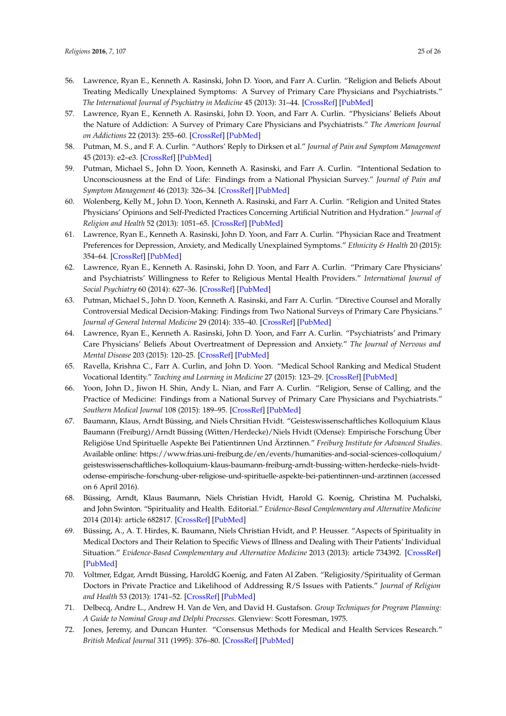- 56. Lawrence, Ryan E., Kenneth A. Rasinski, John D. Yoon, and Farr A. Curlin. "Religion and Beliefs About Treating Medically Unexplained Symptoms: A Survey of Primary Care Physicians and Psychiatrists." *The International Journal of Psychiatry in Medicine* 45 (2013): 31–44. [\[CrossRef\]](http://dx.doi.org/10.2190/PM.45.1.c) [\[PubMed\]](http://www.ncbi.nlm.nih.gov/pubmed/23805602)
- 57. Lawrence, Ryan E., Kenneth A. Rasinski, John D. Yoon, and Farr A. Curlin. "Physicians' Beliefs About the Nature of Addiction: A Survey of Primary Care Physicians and Psychiatrists." *The American Journal on Addictions* 22 (2013): 255–60. [\[CrossRef\]](http://dx.doi.org/10.1111/j.1521-0391.2012.00332.x) [\[PubMed\]](http://www.ncbi.nlm.nih.gov/pubmed/23617868)
- 58. Putman, M. S., and F. A. Curlin. "Authors' Reply to Dirksen et al." *Journal of Pain and Symptom Management* 45 (2013): e2–e3. [\[CrossRef\]](http://dx.doi.org/10.1016/j.jpainsymman.2013.02.004) [\[PubMed\]](http://www.ncbi.nlm.nih.gov/pubmed/23566755)
- 59. Putman, Michael S., John D. Yoon, Kenneth A. Rasinski, and Farr A. Curlin. "Intentional Sedation to Unconsciousness at the End of Life: Findings from a National Physician Survey." *Journal of Pain and Symptom Management* 46 (2013): 326–34. [\[CrossRef\]](http://dx.doi.org/10.1016/j.jpainsymman.2012.09.007) [\[PubMed\]](http://www.ncbi.nlm.nih.gov/pubmed/23219679)
- 60. Wolenberg, Kelly M., John D. Yoon, Kenneth A. Rasinski, and Farr A. Curlin. "Religion and United States Physicians' Opinions and Self-Predicted Practices Concerning Artificial Nutrition and Hydration." *Journal of Religion and Health* 52 (2013): 1051–65. [\[CrossRef\]](http://dx.doi.org/10.1007/s10943-013-9740-z) [\[PubMed\]](http://www.ncbi.nlm.nih.gov/pubmed/23754580)
- 61. Lawrence, Ryan E., Kenneth A. Rasinski, John D. Yoon, and Farr A. Curlin. "Physician Race and Treatment Preferences for Depression, Anxiety, and Medically Unexplained Symptoms." *Ethnicity & Health* 20 (2015): 354–64. [\[CrossRef\]](http://dx.doi.org/10.1080/13557858.2014.921893) [\[PubMed\]](http://www.ncbi.nlm.nih.gov/pubmed/24870971)
- 62. Lawrence, Ryan E., Kenneth A. Rasinski, John D. Yoon, and Farr A. Curlin. "Primary Care Physicians' and Psychiatrists' Willingness to Refer to Religious Mental Health Providers." *International Journal of Social Psychiatry* 60 (2014): 627–36. [\[CrossRef\]](http://dx.doi.org/10.1177/0020764013511066) [\[PubMed\]](http://www.ncbi.nlm.nih.gov/pubmed/24296966)
- 63. Putman, Michael S., John D. Yoon, Kenneth A. Rasinski, and Farr A. Curlin. "Directive Counsel and Morally Controversial Medical Decision-Making: Findings from Two National Surveys of Primary Care Physicians." *Journal of General Internal Medicine* 29 (2014): 335–40. [\[CrossRef\]](http://dx.doi.org/10.1007/s11606-013-2653-4) [\[PubMed\]](http://www.ncbi.nlm.nih.gov/pubmed/24113808)
- 64. Lawrence, Ryan E., Kenneth A. Rasinski, John D. Yoon, and Farr A. Curlin. "Psychiatrists' and Primary Care Physicians' Beliefs About Overtreatment of Depression and Anxiety." *The Journal of Nervous and Mental Disease* 203 (2015): 120–25. [\[CrossRef\]](http://dx.doi.org/10.1097/NMD.0000000000000247) [\[PubMed\]](http://www.ncbi.nlm.nih.gov/pubmed/25594787)
- 65. Ravella, Krishna C., Farr A. Curlin, and John D. Yoon. "Medical School Ranking and Medical Student Vocational Identity." *Teaching and Learning in Medicine* 27 (2015): 123–29. [\[CrossRef\]](http://dx.doi.org/10.1080/10401334.2015.1011644) [\[PubMed\]](http://www.ncbi.nlm.nih.gov/pubmed/25893933)
- <span id="page-25-0"></span>66. Yoon, John D., Jiwon H. Shin, Andy L. Nian, and Farr A. Curlin. "Religion, Sense of Calling, and the Practice of Medicine: Findings from a National Survey of Primary Care Physicians and Psychiatrists." *Southern Medical Journal* 108 (2015): 189–95. [\[CrossRef\]](http://dx.doi.org/10.14423/SMJ.0000000000000250) [\[PubMed\]](http://www.ncbi.nlm.nih.gov/pubmed/25772054)
- <span id="page-25-1"></span>67. Baumann, Klaus, Arndt Büssing, and Niels Chrsitian Hvidt. "Geisteswissenschaftliches Kolloquium Klaus Baumann (Freiburg)/Arndt Büssing (Witten/Herdecke)/Niels Hvidt (Odense): Empirische Forschung Über Religiöse Und Spirituelle Aspekte Bei Patientinnen Und Ärztinnen." *Freiburg Institute for Advanced Studies*. Available online: [https://www.frias.uni-freiburg.de/en/events/humanities-and-social-sciences-colloquium/](https://www.frias.uni-freiburg.de/en/events/humanities-and-social-sciences-colloquium/geisteswissenschaftliches-kolloquium-klaus-baumann-freiburg-arndt-bussing-witten-herdecke-niels-hvidt-odense-empirische-forschung-uber-religiose-und-spirituelle-aspekte-bei-patientinnen-und-arztinnen) [geisteswissenschaftliches-kolloquium-klaus-baumann-freiburg-arndt-bussing-witten-herdecke-niels-hvidt](https://www.frias.uni-freiburg.de/en/events/humanities-and-social-sciences-colloquium/geisteswissenschaftliches-kolloquium-klaus-baumann-freiburg-arndt-bussing-witten-herdecke-niels-hvidt-odense-empirische-forschung-uber-religiose-und-spirituelle-aspekte-bei-patientinnen-und-arztinnen)[odense-empirische-forschung-uber-religiose-und-spirituelle-aspekte-bei-patientinnen-und-arztinnen](https://www.frias.uni-freiburg.de/en/events/humanities-and-social-sciences-colloquium/geisteswissenschaftliches-kolloquium-klaus-baumann-freiburg-arndt-bussing-witten-herdecke-niels-hvidt-odense-empirische-forschung-uber-religiose-und-spirituelle-aspekte-bei-patientinnen-und-arztinnen) (accessed on 6 April 2016).
- 68. Büssing, Arndt, Klaus Baumann, Niels Christian Hvidt, Harold G. Koenig, Christina M. Puchalski, and John Swinton. "Spirituality and Health. Editorial." *Evidence-Based Complementary and Alternative Medicine* 2014 (2014): article 682817. [\[CrossRef\]](http://dx.doi.org/10.1155/2014/682817) [\[PubMed\]](http://www.ncbi.nlm.nih.gov/pubmed/24616739)
- <span id="page-25-2"></span>69. Büssing, A., A. T. Hirdes, K. Baumann, Niels Christian Hvidt, and P. Heusser. "Aspects of Spirituality in Medical Doctors and Their Relation to Specific Views of Illness and Dealing with Their Patients' Individual Situation." *Evidence-Based Complementary and Alternative Medicine* 2013 (2013): article 734392. [\[CrossRef\]](http://dx.doi.org/10.1155/2013/734392) [\[PubMed\]](http://www.ncbi.nlm.nih.gov/pubmed/23956779)
- <span id="page-25-3"></span>70. Voltmer, Edgar, Arndt Büssing, HaroldG Koenig, and Faten Al Zaben. "Religiosity/Spirituality of German Doctors in Private Practice and Likelihood of Addressing R/S Issues with Patients." *Journal of Religion and Health* 53 (2013): 1741–52. [\[CrossRef\]](http://dx.doi.org/10.1007/s10943-013-9776-0) [\[PubMed\]](http://www.ncbi.nlm.nih.gov/pubmed/24077926)
- <span id="page-25-4"></span>71. Delbecq, Andre L., Andrew H. Van de Ven, and David H. Gustafson. *Group Techniques for Program Planning: A Guide to Nominal Group and Delphi Processes*. Glenview: Scott Foresman, 1975.
- <span id="page-25-5"></span>72. Jones, Jeremy, and Duncan Hunter. "Consensus Methods for Medical and Health Services Research." *British Medical Journal* 311 (1995): 376–80. [\[CrossRef\]](http://dx.doi.org/10.1136/bmj.311.7001.376) [\[PubMed\]](http://www.ncbi.nlm.nih.gov/pubmed/7640549)